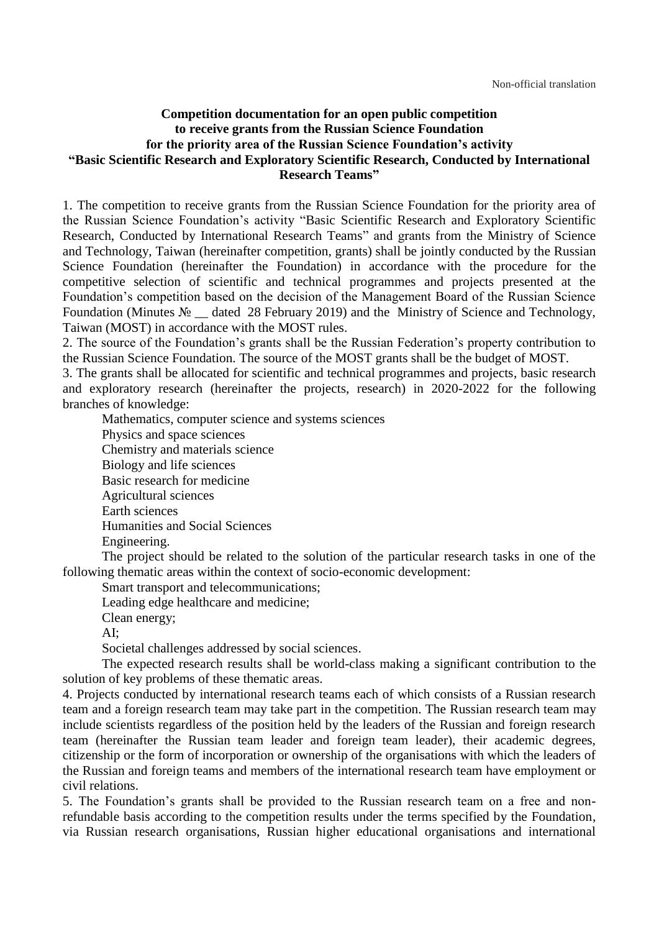#### **Competition documentation for an open public competition to receive grants from the Russian Science Foundation for the priority area of the Russian Science Foundation's activity "Basic Scientific Research and Exploratory Scientific Research, Conducted by International Research Teams"**

1. The competition to receive grants from the Russian Science Foundation for the priority area of the Russian Science Foundation's activity "Basic Scientific Research and Exploratory Scientific Research, Conducted by International Research Teams" and grants from the Ministry of Science and Technology, Taiwan (hereinafter competition, grants) shall be jointly conducted by the Russian Science Foundation (hereinafter the Foundation) in accordance with the procedure for the competitive selection of scientific and technical programmes and projects presented at the Foundation's competition based on the decision of the Management Board of the Russian Science Foundation (Minutes № \_\_ dated 28 February 2019) and the Ministry of Science and Technology, Taiwan (MOST) in accordance with the MOST rules.

2. The source of the Foundation's grants shall be the Russian Federation's property contribution to the Russian Science Foundation. The source of the MOST grants shall be the budget of MOST.

3. The grants shall be allocated for scientific and technical programmes and projects, basic research and exploratory research (hereinafter the projects, research) in 2020-2022 for the following branches of knowledge:

Mathematics, computer science and systems sciences

Physics and space sciences Chemistry and materials science Biology and life sciences Basic research for medicine Agricultural sciences Earth sciences Humanities and Social Sciences Engineering.

The project should be related to the solution of the particular research tasks in one of the following thematic areas within the context of socio-economic development:

Smart transport and telecommunications;

Leading edge healthcare and medicine;

Clean energy;

AI;

Societal challenges addressed by social sciences.

The expected research results shall be world-class making a significant contribution to the solution of key problems of these thematic areas.

4. Projects conducted by international research teams each of which consists of a Russian research team and a foreign research team may take part in the competition. The Russian research team may include scientists regardless of the position held by the leaders of the Russian and foreign research team (hereinafter the Russian team leader and foreign team leader), their academic degrees, citizenship or the form of incorporation or ownership of the organisations with which the leaders of the Russian and foreign teams and members of the international research team have employment or civil relations.

5. The Foundation's grants shall be provided to the Russian research team on a free and nonrefundable basis according to the competition results under the terms specified by the Foundation, via Russian research organisations, Russian higher educational organisations and international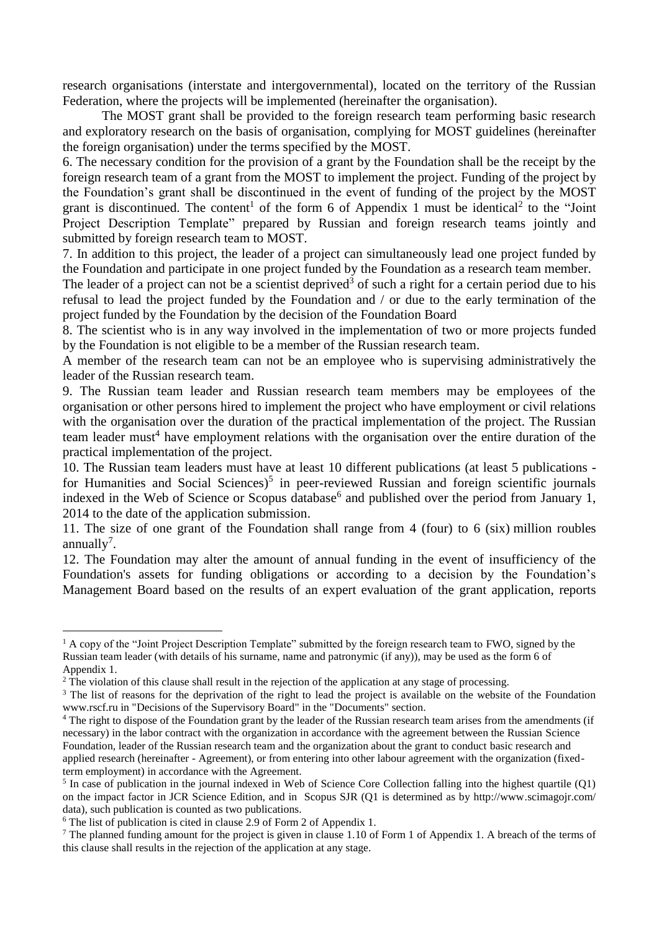research organisations (interstate and intergovernmental), located on the territory of the Russian Federation, where the projects will be implemented (hereinafter the organisation).

The MOST grant shall be provided to the foreign research team performing basic research and exploratory research on the basis of organisation, complying for MOST guidelines (hereinafter the foreign organisation) under the terms specified by the MOST.

6. The necessary condition for the provision of a grant by the Foundation shall be the receipt by the foreign research team of a grant from the MOST to implement the project. Funding of the project by the Foundation's grant shall be discontinued in the event of funding of the project by the MOST grant is discontinued. The content<sup>1</sup> of the form 6 of Appendix 1 must be identical<sup>2</sup> to the "Joint Project Description Template" prepared by Russian and foreign research teams jointly and submitted by foreign research team to MOST.

7. In addition to this project, the leader of a project can simultaneously lead one project funded by the Foundation and participate in one project funded by the Foundation as a research team member.

The leader of a project can not be a scientist deprived<sup>3</sup> of such a right for a certain period due to his refusal to lead the project funded by the Foundation and / or due to the early termination of the project funded by the Foundation by the decision of the Foundation Board

8. The scientist who is in any way involved in the implementation of two or more projects funded by the Foundation is not eligible to be a member of the Russian research team.

A member of the research team can not be an employee who is supervising administratively the leader of the Russian research team.

9. The Russian team leader and Russian research team members may be employees of the organisation or other persons hired to implement the project who have employment or civil relations with the organisation over the duration of the practical implementation of the project. The Russian team leader must<sup>4</sup> have employment relations with the organisation over the entire duration of the practical implementation of the project.

10. The Russian team leaders must have at least 10 different publications (at least 5 publications for Humanities and Social Sciences)<sup>5</sup> in peer-reviewed Russian and foreign scientific journals indexed in the Web of Science or Scopus database<sup>6</sup> and published over the period from January 1, 2014 to the date of the application submission.

11. The size of one grant of the Foundation shall range from 4 (four) to 6 (six) million roubles annually<sup>7</sup>.

12. The Foundation may alter the amount of annual funding in the event of insufficiency of the Foundation's assets for funding obligations or according to a decision by the Foundation's Management Board based on the results of an expert evaluation of the grant application, reports

 $<sup>1</sup>$  A copy of the "Joint Project Description Template" submitted by the foreign research team to FWO, signed by the</sup> Russian team leader (with details of his surname, name and patronymic (if any)), may be used as the form 6 of Appendix 1.

<sup>&</sup>lt;sup>2</sup> The violation of this clause shall result in the rejection of the application at any stage of processing.

<sup>&</sup>lt;sup>3</sup> The list of reasons for the deprivation of the right to lead the project is available on the website of the Foundation www.rscf.ru in "Decisions of the Supervisory Board" in the "Documents" section.

<sup>&</sup>lt;sup>4</sup> The right to dispose of the Foundation grant by the leader of the Russian research team arises from the amendments (if necessary) in the labor contract with the organization in accordance with the agreement between the Russian Science Foundation, leader of the Russian research team and the organization about the grant to conduct basic research and applied research (hereinafter - Agreement), or from entering into other labour agreement with the organization (fixedterm employment) in accordance with the Agreement.

 $<sup>5</sup>$  In case of publication in the journal indexed in Web of Science Core Collection falling into the highest quartile (Q1)</sup> on the impact factor in JCR Science Edition, and in Scopus SJR (Q1 is determined as by http://www.scimagojr.com/ data), such publication is counted as two publications.

<sup>6</sup> The list of publication is cited in clause 2.9 of Form 2 of Appendix 1.

<sup>&</sup>lt;sup>7</sup> The planned funding amount for the project is given in clause 1.10 of Form 1 of Appendix 1. A breach of the terms of this clause shall results in the rejection of the application at any stage.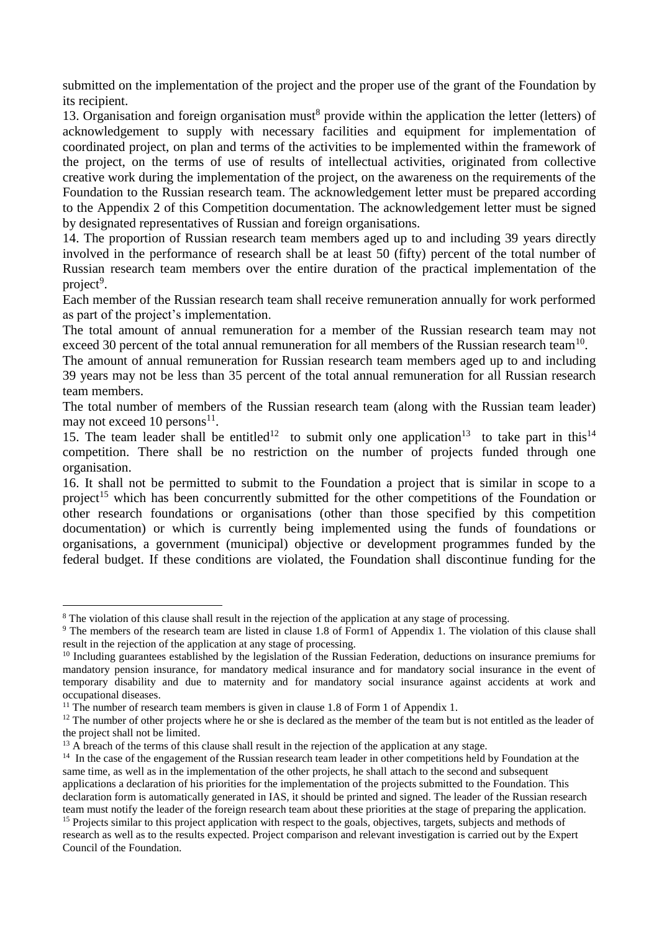submitted on the implementation of the project and the proper use of the grant of the Foundation by its recipient.

13. Organisation and foreign organisation must<sup>8</sup> provide within the application the letter (letters) of acknowledgement to supply with necessary facilities and equipment for implementation of coordinated project, on plan and terms of the activities to be implemented within the framework of the project, on the terms of use of results of intellectual activities, originated from collective creative work during the implementation of the project, on the awareness on the requirements of the Foundation to the Russian research team. The acknowledgement letter must be prepared according to the Appendix 2 of this Competition documentation. The acknowledgement letter must be signed by designated representatives of Russian and foreign organisations.

14. The proportion of Russian research team members aged up to and including 39 years directly involved in the performance of research shall be at least 50 (fifty) percent of the total number of Russian research team members over the entire duration of the practical implementation of the project<sup>9</sup>.

Each member of the Russian research team shall receive remuneration annually for work performed as part of the project's implementation.

The total amount of annual remuneration for a member of the Russian research team may not exceed 30 percent of the total annual remuneration for all members of the Russian research team<sup>10</sup>.

The amount of annual remuneration for Russian research team members aged up to and including 39 years may not be less than 35 percent of the total annual remuneration for all Russian research team members.

The total number of members of the Russian research team (along with the Russian team leader) may not exceed 10 persons $^{11}$ .

15. The team leader shall be entitled<sup>12</sup> to submit only one application<sup>13</sup> to take part in this<sup>14</sup> competition. There shall be no restriction on the number of projects funded through one organisation.

16. It shall not be permitted to submit to the Foundation a project that is similar in scope to a project<sup>15</sup> which has been concurrently submitted for the other competitions of the Foundation or other research foundations or organisations (other than those specified by this competition documentation) or which is currently being implemented using the funds of foundations or organisations, a government (municipal) objective or development programmes funded by the federal budget. If these conditions are violated, the Foundation shall discontinue funding for the

<sup>&</sup>lt;sup>8</sup> The violation of this clause shall result in the rejection of the application at any stage of processing.

<sup>&</sup>lt;sup>9</sup> The members of the research team are listed in clause 1.8 of Form1 of Appendix 1. The violation of this clause shall result in the rejection of the application at any stage of processing.

<sup>&</sup>lt;sup>10</sup> Including guarantees established by the legislation of the Russian Federation, deductions on insurance premiums for mandatory pension insurance, for mandatory medical insurance and for mandatory social insurance in the event of temporary disability and due to maternity and for mandatory social insurance against accidents at work and occupational diseases.

<sup>&</sup>lt;sup>11</sup> The number of research team members is given in clause 1.8 of Form 1 of Appendix 1.

 $12$  The number of other projects where he or she is declared as the member of the team but is not entitled as the leader of the project shall not be limited.

<sup>&</sup>lt;sup>13</sup> A breach of the terms of this clause shall result in the rejection of the application at any stage.

<sup>&</sup>lt;sup>14</sup> In the case of the engagement of the Russian research team leader in other competitions held by Foundation at the same time, as well as in the implementation of the other projects, he shall attach to the second and subsequent applications a declaration of his priorities for the implementation of the projects submitted to the Foundation. This declaration form is automatically generated in IAS, it should be printed and signed. The leader of the Russian research team must notify the leader of the foreign research team about these priorities at the stage of preparing the application.

<sup>&</sup>lt;sup>15</sup> Projects similar to this project application with respect to the goals, objectives, targets, subjects and methods of research as well as to the results expected. Project comparison and relevant investigation is carried out by the Expert Council of the Foundation.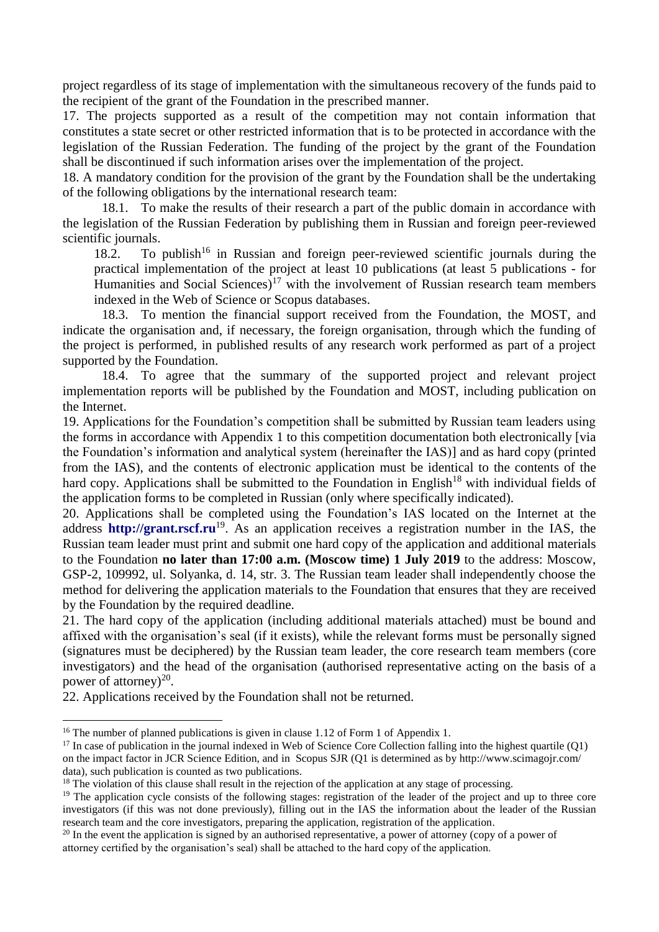project regardless of its stage of implementation with the simultaneous recovery of the funds paid to the recipient of the grant of the Foundation in the prescribed manner.

17. The projects supported as a result of the competition may not contain information that constitutes a state secret or other restricted information that is to be protected in accordance with the legislation of the Russian Federation. The funding of the project by the grant of the Foundation shall be discontinued if such information arises over the implementation of the project.

18. A mandatory condition for the provision of the grant by the Foundation shall be the undertaking of the following obligations by the international research team:

18.1. To make the results of their research a part of the public domain in accordance with the legislation of the Russian Federation by publishing them in Russian and foreign peer-reviewed scientific journals.

18.2. To publish<sup>16</sup> in Russian and foreign peer-reviewed scientific journals during the practical implementation of the project at least 10 publications (at least 5 publications - for Humanities and Social Sciences)<sup>17</sup> with the involvement of Russian research team members indexed in the Web of Science or Scopus databases.

18.3. To mention the financial support received from the Foundation, the MOST, and indicate the organisation and, if necessary, the foreign organisation, through which the funding of the project is performed, in published results of any research work performed as part of a project supported by the Foundation.

18.4. To agree that the summary of the supported project and relevant project implementation reports will be published by the Foundation and MOST, including publication on the Internet.

19. Applications for the Foundation's competition shall be submitted by Russian team leaders using the forms in accordance with Appendix 1 to this competition documentation both electronically [via the Foundation's information and analytical system (hereinafter the IAS)] and as hard copy (printed from the IAS), and the contents of electronic application must be identical to the contents of the hard copy. Applications shall be submitted to the Foundation in English<sup>18</sup> with individual fields of the application forms to be completed in Russian (only where specifically indicated).

20. Applications shall be completed using the Foundation's IAS located on the Internet at the address **[http://grant.rscf.ru](http://grant.rscf.ru/)**<sup>19</sup>. As an application receives a registration number in the IAS, the Russian team leader must print and submit one hard copy of the application and additional materials to the Foundation **no later than 17:00 a.m. (Moscow time) 1 July 2019** to the address: Moscow, GSP-2, 109992, ul. Solyanka, d. 14, str. 3. The Russian team leader shall independently choose the method for delivering the application materials to the Foundation that ensures that they are received by the Foundation by the required deadline.

21. The hard copy of the application (including additional materials attached) must be bound and affixed with the organisation's seal (if it exists), while the relevant forms must be personally signed (signatures must be deciphered) by the Russian team leader, the core research team members (core investigators) and the head of the organisation (authorised representative acting on the basis of a power of attorney) $^{20}$ .

22. Applications received by the Foundation shall not be returned.

<sup>&</sup>lt;sup>16</sup> The number of planned publications is given in clause 1.12 of Form 1 of Appendix 1.

 $17$  In case of publication in the journal indexed in Web of Science Core Collection falling into the highest quartile (O1) on the impact factor in JCR Science Edition, and in Scopus SJR (Q1 is determined as by http://www.scimagojr.com/ data), such publication is counted as two publications.

<sup>&</sup>lt;sup>18</sup> The violation of this clause shall result in the rejection of the application at any stage of processing.

<sup>&</sup>lt;sup>19</sup> The application cycle consists of the following stages: registration of the leader of the project and up to three core investigators (if this was not done previously), filling out in the IAS the information about the leader of the Russian research team and the core investigators, preparing the application, registration of the application.

<sup>&</sup>lt;sup>20</sup> In the event the application is signed by an authorised representative, a power of attorney (copy of a power of attorney certified by the organisation's seal) shall be attached to the hard copy of the application.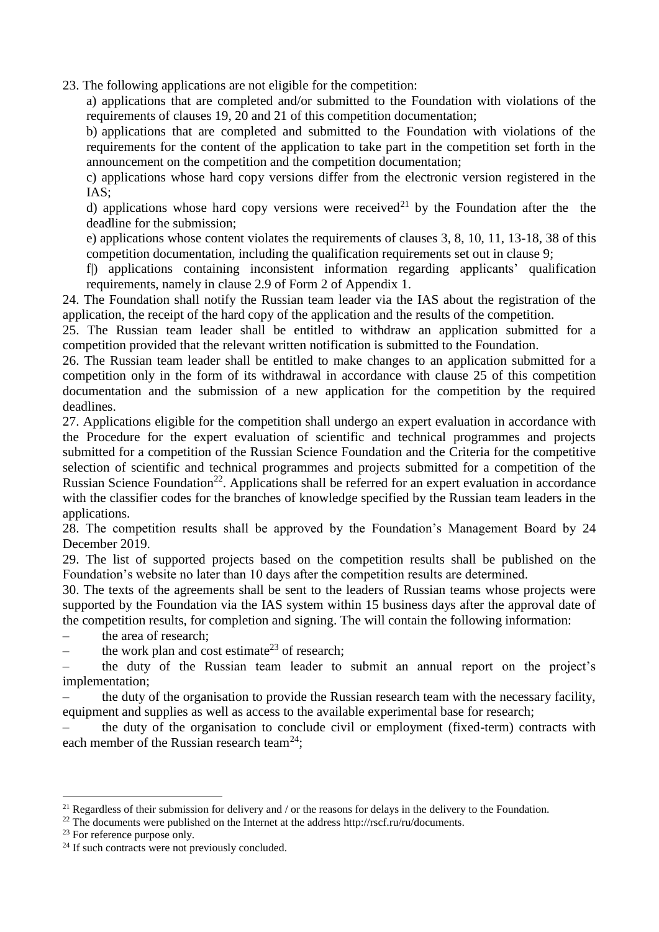23. The following applications are not eligible for the competition:

a) applications that are completed and/or submitted to the Foundation with violations of the requirements of clauses 19, 20 and 21 of this competition documentation;

b) applications that are completed and submitted to the Foundation with violations of the requirements for the content of the application to take part in the competition set forth in the announcement on the competition and the competition documentation;

c) applications whose hard copy versions differ from the electronic version registered in the IAS;

d) applications whose hard copy versions were received<sup>21</sup> by the Foundation after the the deadline for the submission;

e) applications whose content violates the requirements of clauses 3, 8, 10, 11, 13-18, 38 of this competition documentation, including the qualification requirements set out in clause 9;

f|) applications containing inconsistent information regarding applicants' qualification requirements, namely in clause 2.9 of Form 2 of Appendix 1.

24. The Foundation shall notify the Russian team leader via the IAS about the registration of the application, the receipt of the hard copy of the application and the results of the competition.

25. The Russian team leader shall be entitled to withdraw an application submitted for a competition provided that the relevant written notification is submitted to the Foundation.

26. The Russian team leader shall be entitled to make changes to an application submitted for a competition only in the form of its withdrawal in accordance with clause 25 of this competition documentation and the submission of a new application for the competition by the required deadlines.

27. Applications eligible for the competition shall undergo an expert evaluation in accordance with the Procedure for the expert evaluation of scientific and technical programmes and projects submitted for a competition of the Russian Science Foundation and the Criteria for the competitive selection of scientific and technical programmes and projects submitted for a competition of the Russian Science Foundation<sup>22</sup>. Applications shall be referred for an expert evaluation in accordance with the classifier codes for the branches of knowledge specified by the Russian team leaders in the applications.

28. The competition results shall be approved by the Foundation's Management Board by 24 December 2019.

29. The list of supported projects based on the competition results shall be published on the Foundation's website no later than 10 days after the competition results are determined.

30. The texts of the agreements shall be sent to the leaders of Russian teams whose projects were supported by the Foundation via the IAS system within 15 business days after the approval date of the competition results, for completion and signing. The will contain the following information:

– the area of research;

the work plan and cost estimate<sup>23</sup> of research;

– the duty of the Russian team leader to submit an annual report on the project's implementation;

– the duty of the organisation to provide the Russian research team with the necessary facility, equipment and supplies as well as access to the available experimental base for research;

– the duty of the organisation to conclude civil or employment (fixed-term) contracts with each member of the Russian research team<sup>24</sup>;

 $21$  Regardless of their submission for delivery and / or the reasons for delays in the delivery to the Foundation.

<sup>&</sup>lt;sup>22</sup> The documents were published on the Internet at the address http://rscf.ru/ru/documents.

<sup>&</sup>lt;sup>23</sup> For reference purpose only.

 $24$  If such contracts were not previously concluded.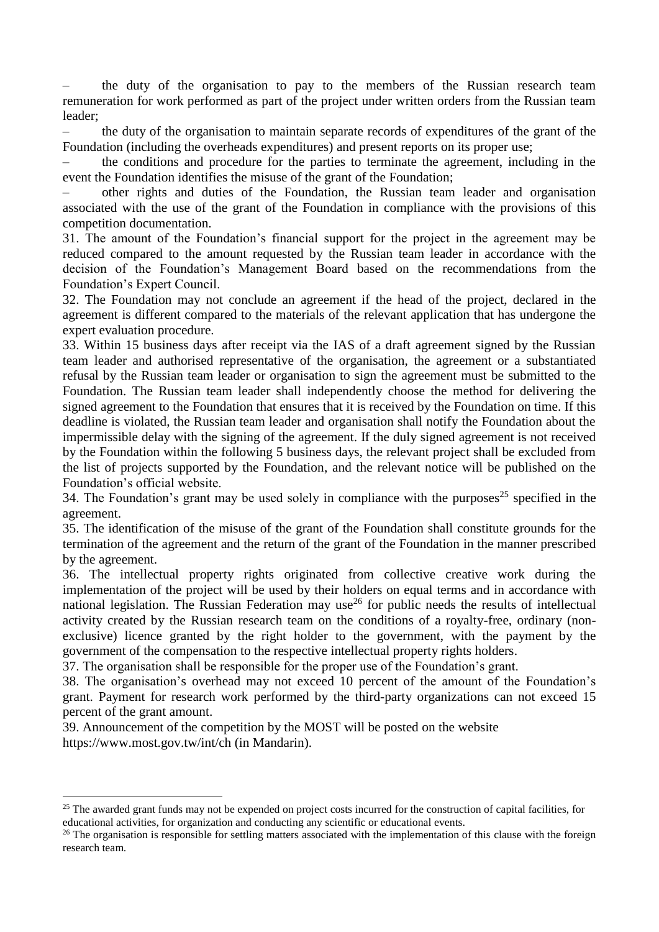the duty of the organisation to pay to the members of the Russian research team remuneration for work performed as part of the project under written orders from the Russian team leader;

– the duty of the organisation to maintain separate records of expenditures of the grant of the Foundation (including the overheads expenditures) and present reports on its proper use;

– the conditions and procedure for the parties to terminate the agreement, including in the event the Foundation identifies the misuse of the grant of the Foundation;

– other rights and duties of the Foundation, the Russian team leader and organisation associated with the use of the grant of the Foundation in compliance with the provisions of this competition documentation.

31. The amount of the Foundation's financial support for the project in the agreement may be reduced compared to the amount requested by the Russian team leader in accordance with the decision of the Foundation's Management Board based on the recommendations from the Foundation's Expert Council.

32. The Foundation may not conclude an agreement if the head of the project, declared in the agreement is different compared to the materials of the relevant application that has undergone the expert evaluation procedure.

33. Within 15 business days after receipt via the IAS of a draft agreement signed by the Russian team leader and authorised representative of the organisation, the agreement or a substantiated refusal by the Russian team leader or organisation to sign the agreement must be submitted to the Foundation. The Russian team leader shall independently choose the method for delivering the signed agreement to the Foundation that ensures that it is received by the Foundation on time. If this deadline is violated, the Russian team leader and organisation shall notify the Foundation about the impermissible delay with the signing of the agreement. If the duly signed agreement is not received by the Foundation within the following 5 business days, the relevant project shall be excluded from the list of projects supported by the Foundation, and the relevant notice will be published on the Foundation's official website.

34. The Foundation's grant may be used solely in compliance with the purposes<sup>25</sup> specified in the agreement.

35. The identification of the misuse of the grant of the Foundation shall constitute grounds for the termination of the agreement and the return of the grant of the Foundation in the manner prescribed by the agreement.

36. The intellectual property rights originated from collective creative work during the implementation of the project will be used by their holders on equal terms and in accordance with national legislation. The Russian Federation may use<sup>26</sup> for public needs the results of intellectual activity created by the Russian research team on the conditions of a royalty-free, ordinary (nonexclusive) licence granted by the right holder to the government, with the payment by the government of the compensation to the respective intellectual property rights holders.

37. The organisation shall be responsible for the proper use of the Foundation's grant.

38. The organisation's overhead may not exceed 10 percent of the amount of the Foundation's grant. Payment for research work performed by the third-party organizations can not exceed 15 percent of the grant amount.

39. Announcement of the competition by the MOST will be posted on the website https://www.most.gov.tw/int/ch (in Mandarin).

<sup>&</sup>lt;sup>25</sup> The awarded grant funds may not be expended on project costs incurred for the construction of capital facilities, for educational activities, for organization and conducting any scientific or educational events.

 $26$  The organisation is responsible for settling matters associated with the implementation of this clause with the foreign research team.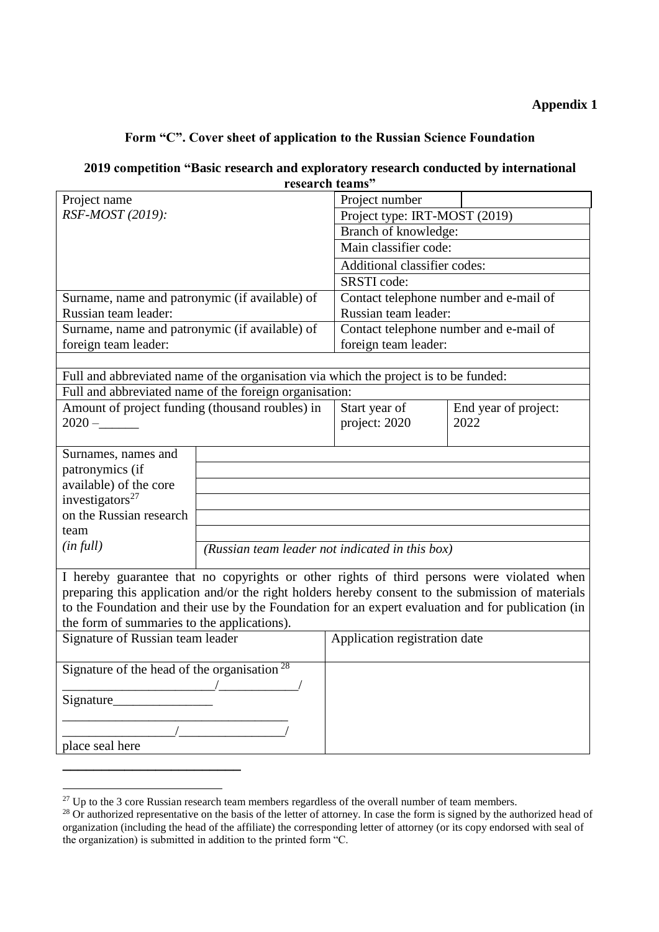# **Appendix 1**

#### **Form "C". Cover sheet of application to the Russian Science Foundation**

# **2019 competition "Basic research and exploratory research conducted by international research teams"**

| Project name                                                                                                                                                                                            |                                                 | Project number                         |                                                                                           |  |
|---------------------------------------------------------------------------------------------------------------------------------------------------------------------------------------------------------|-------------------------------------------------|----------------------------------------|-------------------------------------------------------------------------------------------|--|
| RSF-MOST (2019):                                                                                                                                                                                        |                                                 | Project type: IRT-MOST (2019)          |                                                                                           |  |
|                                                                                                                                                                                                         |                                                 | Branch of knowledge:                   |                                                                                           |  |
|                                                                                                                                                                                                         |                                                 | Main classifier code:                  |                                                                                           |  |
|                                                                                                                                                                                                         |                                                 | Additional classifier codes:           |                                                                                           |  |
|                                                                                                                                                                                                         |                                                 | SRSTI code:                            |                                                                                           |  |
| Surname, name and patronymic (if available) of                                                                                                                                                          |                                                 | Contact telephone number and e-mail of |                                                                                           |  |
| Russian team leader:                                                                                                                                                                                    |                                                 | Russian team leader:                   |                                                                                           |  |
| Surname, name and patronymic (if available) of                                                                                                                                                          |                                                 | Contact telephone number and e-mail of |                                                                                           |  |
| foreign team leader:                                                                                                                                                                                    |                                                 | foreign team leader:                   |                                                                                           |  |
|                                                                                                                                                                                                         |                                                 |                                        |                                                                                           |  |
| Full and abbreviated name of the organisation via which the project is to be funded:                                                                                                                    |                                                 |                                        |                                                                                           |  |
| Full and abbreviated name of the foreign organisation:                                                                                                                                                  |                                                 |                                        |                                                                                           |  |
| Amount of project funding (thousand roubles) in                                                                                                                                                         |                                                 | Start year of                          | End year of project:                                                                      |  |
| $2020 -$                                                                                                                                                                                                |                                                 | project: 2020                          | 2022                                                                                      |  |
|                                                                                                                                                                                                         |                                                 |                                        |                                                                                           |  |
| Surnames, names and                                                                                                                                                                                     |                                                 |                                        |                                                                                           |  |
| patronymics (if                                                                                                                                                                                         |                                                 |                                        |                                                                                           |  |
| available) of the core                                                                                                                                                                                  |                                                 |                                        |                                                                                           |  |
| investigators <sup>27</sup>                                                                                                                                                                             |                                                 |                                        |                                                                                           |  |
| on the Russian research                                                                                                                                                                                 |                                                 |                                        |                                                                                           |  |
| team                                                                                                                                                                                                    |                                                 |                                        |                                                                                           |  |
| (infull)                                                                                                                                                                                                | (Russian team leader not indicated in this box) |                                        |                                                                                           |  |
|                                                                                                                                                                                                         |                                                 |                                        | I hereby guarantee that no copyrights or other rights of third persons were violated when |  |
|                                                                                                                                                                                                         |                                                 |                                        |                                                                                           |  |
| preparing this application and/or the right holders hereby consent to the submission of materials<br>to the Foundation and their use by the Foundation for an expert evaluation and for publication (in |                                                 |                                        |                                                                                           |  |
| the form of summaries to the applications).                                                                                                                                                             |                                                 |                                        |                                                                                           |  |
| Signature of Russian team leader                                                                                                                                                                        |                                                 | Application registration date          |                                                                                           |  |
|                                                                                                                                                                                                         |                                                 |                                        |                                                                                           |  |
| Signature of the head of the organisation $28$                                                                                                                                                          |                                                 |                                        |                                                                                           |  |
| $\sqrt{2}$                                                                                                                                                                                              |                                                 |                                        |                                                                                           |  |
| Signature                                                                                                                                                                                               |                                                 |                                        |                                                                                           |  |
|                                                                                                                                                                                                         |                                                 |                                        |                                                                                           |  |
|                                                                                                                                                                                                         |                                                 |                                        |                                                                                           |  |
| place seal here                                                                                                                                                                                         |                                                 |                                        |                                                                                           |  |
|                                                                                                                                                                                                         |                                                 |                                        |                                                                                           |  |

<sup>1</sup>  $^{27}$  Up to the 3 core Russian research team members regardless of the overall number of team members.

<sup>&</sup>lt;sup>28</sup> Or authorized representative on the basis of the letter of attorney. In case the form is signed by the authorized head of organization (including the head of the affiliate) the corresponding letter of attorney (or its copy endorsed with seal of the organization) is submitted in addition to the printed form "C.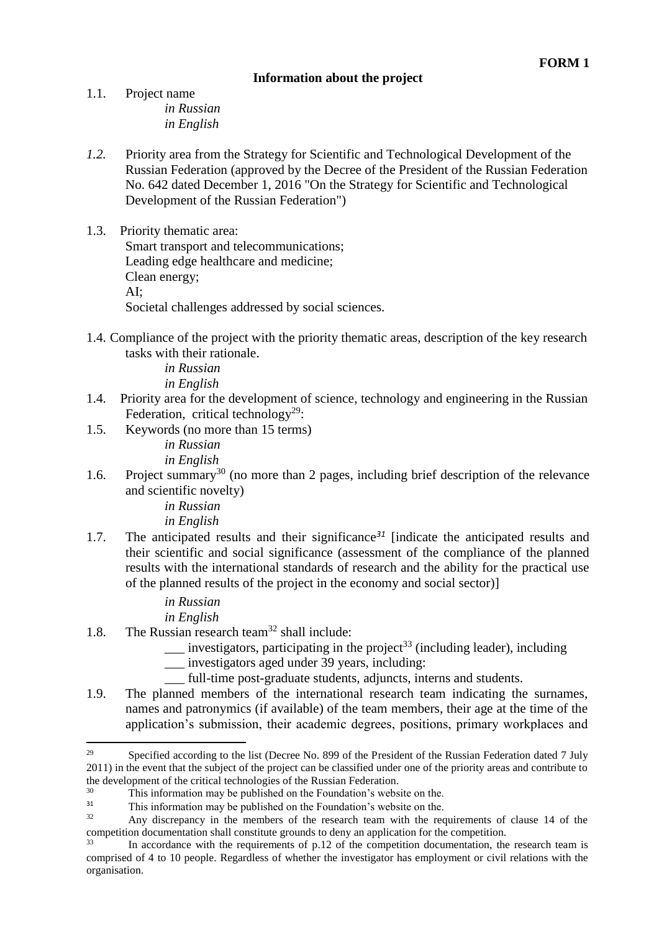#### **Information about the project**

1.1. Project name *in Russian in English*

- *1.2.* Priority area from the Strategy for Scientific and Technological Development of the Russian Federation (approved by the Decree of the President of the Russian Federation No. 642 dated December 1, 2016 "On the Strategy for Scientific and Technological Development of the Russian Federation")
- 1.3. Priority thematic area: Smart transport and telecommunications; Leading edge healthcare and medicine; Clean energy; AI; Societal challenges addressed by social sciences.
- 1.4. Compliance of the project with the priority thematic areas, description of the key research tasks with their rationale.

*in Russian in English*

- 1.4. Priority area for the development of science, technology and engineering in the Russian Federation, critical technology<sup>29</sup>:
- 1.5. Keywords (no more than 15 terms) *in Russian*

*in English*

1.6. Project summary<sup>30</sup> (no more than 2 pages, including brief description of the relevance and scientific novelty)

> *in Russian in English*

1.7. The anticipated results and their significance*<sup>31</sup>* [indicate the anticipated results and their scientific and social significance (assessment of the compliance of the planned results with the international standards of research and the ability for the practical use of the planned results of the project in the economy and social sector)]

> *in Russian in English*

- 1.8. The Russian research team<sup>32</sup> shall include:
	- investigators, participating in the project<sup>33</sup> (including leader), including
	- \_\_\_ investigators aged under 39 years, including:
	- full-time post-graduate students, adjuncts, interns and students.
- 1.9. The planned members of the international research team indicating the surnames, names and patronymics (if available) of the team members, their age at the time of the application's submission, their academic degrees, positions, primary workplaces and

<sup>&</sup>lt;sup>29</sup> Specified according to the list (Decree No. 899 of the President of the Russian Federation dated 7 July 2011) in the event that the subject of the project can be classified under one of the priority areas and contribute to the development of the critical technologies of the Russian Federation.<br><sup>30</sup> This information may be sublished on the Foundation's webs

<sup>&</sup>lt;sup>30</sup> This information may be published on the Foundation's website on the.<br><sup>31</sup> This information may be published on the Foundation's website on the

 $\frac{31}{32}$  This information may be published on the Foundation's website on the.

Any discrepancy in the members of the research team with the requirements of clause 14 of the competition documentation shall constitute grounds to deny an application for the competition.

In accordance with the requirements of p.12 of the competition documentation, the research team is comprised of 4 to 10 people. Regardless of whether the investigator has employment or civil relations with the organisation.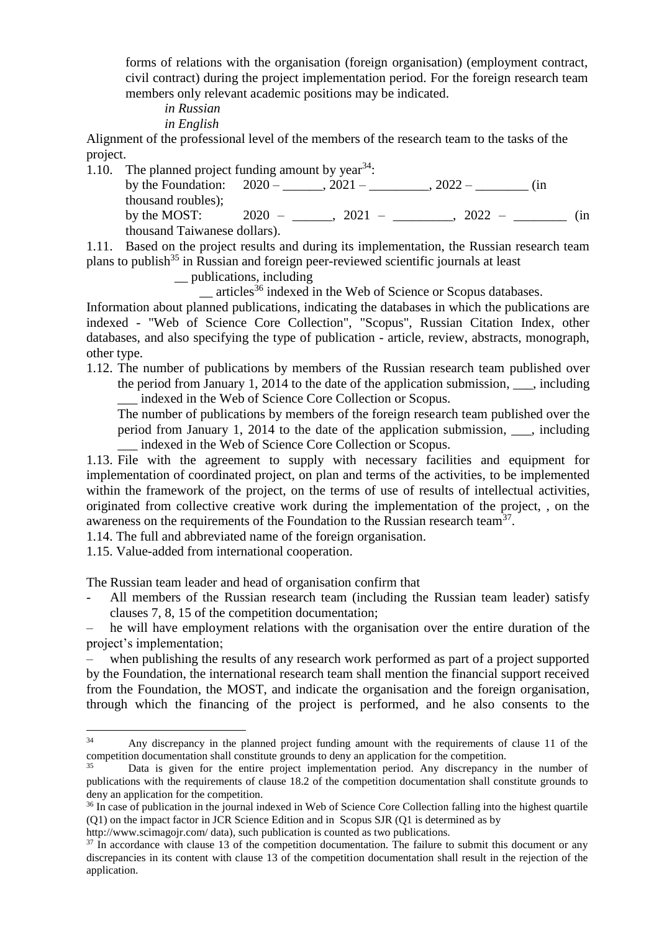forms of relations with the organisation (foreign organisation) (employment contract, civil contract) during the project implementation period. For the foreign research team members only relevant academic positions may be indicated.

*in Russian*

*in English*

Alignment of the professional level of the members of the research team to the tasks of the project.

1.10. The planned project funding amount by year  $34$ : by the Foundation:  $2020 - 2021 - 2021 - 2022 -$  (in thousand roubles); by the MOST:  $2020 - 2021 - 2021 - 3022 - 1$  (in thousand Taiwanese dollars).

1.11. Based on the project results and during its implementation, the Russian research team plans to publish<sup>35</sup> in Russian and foreign peer-reviewed scientific journals at least

\_\_ publications, including

\_\_ articles<sup>36</sup> indexed in the Web of Science or Scopus databases.

Information about planned publications, indicating the databases in which the publications are indexed - "Web of Science Core Collection", "Scopus", Russian Citation Index, other databases, and also specifying the type of publication - article, review, abstracts, monograph, other type.

1.12. The number of publications by members of the Russian research team published over the period from January 1, 2014 to the date of the application submission, . including \_\_\_ indexed in the Web of Science Core Collection or Scopus.

The number of publications by members of the foreign research team published over the period from January 1, 2014 to the date of the application submission, \_\_\_, including \_\_\_ indexed in the Web of Science Core Collection or Scopus.

1.13. File with the agreement to supply with necessary facilities and equipment for implementation of coordinated project, on plan and terms of the activities, to be implemented within the framework of the project, on the terms of use of results of intellectual activities, originated from collective creative work during the implementation of the project, , on the awareness on the requirements of the Foundation to the Russian research team<sup>37</sup>.

1.14. The full and abbreviated name of the foreign organisation.

1.15. Value-added from international cooperation.

The Russian team leader and head of organisation confirm that

All members of the Russian research team (including the Russian team leader) satisfy clauses 7, 8, 15 of the competition documentation;

– he will have employment relations with the organisation over the entire duration of the project's implementation;

when publishing the results of any research work performed as part of a project supported by the Foundation, the international research team shall mention the financial support received from the Foundation, the MOST, and indicate the organisation and the foreign organisation, through which the financing of the project is performed, and he also consents to the

 $34$ Any discrepancy in the planned project funding amount with the requirements of clause 11 of the competition documentation shall constitute grounds to deny an application for the competition.

Data is given for the entire project implementation period. Any discrepancy in the number of publications with the requirements of clause 18.2 of the competition documentation shall constitute grounds to deny an application for the competition.

<sup>&</sup>lt;sup>36</sup> In case of publication in the journal indexed in Web of Science Core Collection falling into the highest quartile (Q1) on the impact factor in JCR Science Edition and in Scopus SJR (Q1 is determined as by

http://www.scimagoir.com/ data), such publication is counted as two publications.

 $37$  In accordance with clause 13 of the competition documentation. The failure to submit this document or any discrepancies in its content with clause 13 of the competition documentation shall result in the rejection of the application.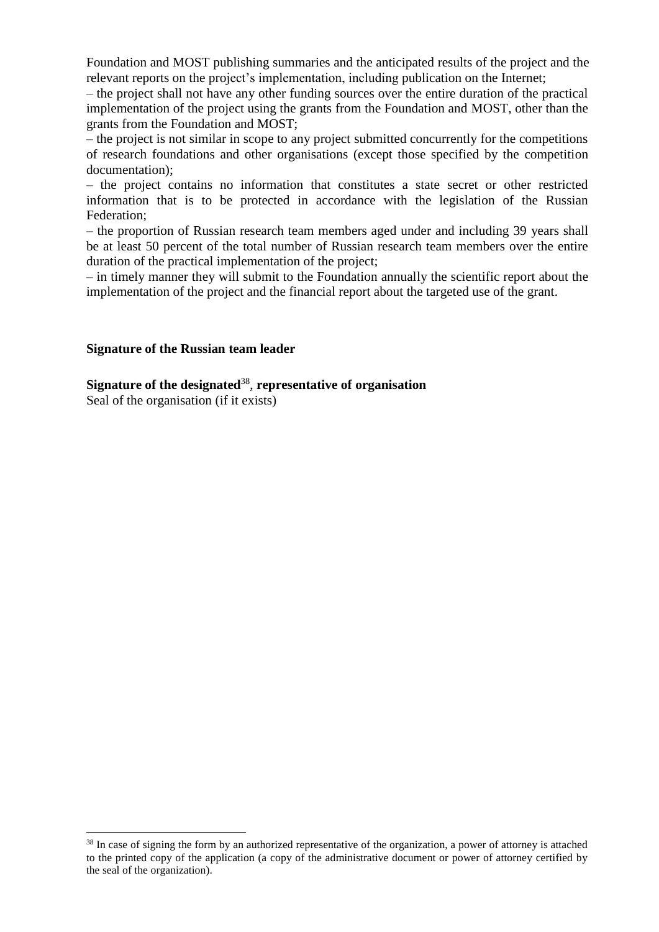Foundation and MOST publishing summaries and the anticipated results of the project and the relevant reports on the project's implementation, including publication on the Internet;

– the project shall not have any other funding sources over the entire duration of the practical implementation of the project using the grants from the Foundation and MOST, other than the grants from the Foundation and MOST;

– the project is not similar in scope to any project submitted concurrently for the competitions of research foundations and other organisations (except those specified by the competition documentation);

– the project contains no information that constitutes a state secret or other restricted information that is to be protected in accordance with the legislation of the Russian Federation;

– the proportion of Russian research team members aged under and including 39 years shall be at least 50 percent of the total number of Russian research team members over the entire duration of the practical implementation of the project;

– in timely manner they will submit to the Foundation annually the scientific report about the implementation of the project and the financial report about the targeted use of the grant.

#### **Signature of the Russian team leader**

**Signature of the designated**<sup>38</sup> , **representative of organisation**

Seal of the organisation (if it exists)

<sup>&</sup>lt;sup>38</sup> In case of signing the form by an authorized representative of the organization, a power of attorney is attached to the printed copy of the application (a copy of the administrative document or power of attorney certified by the seal of the organization).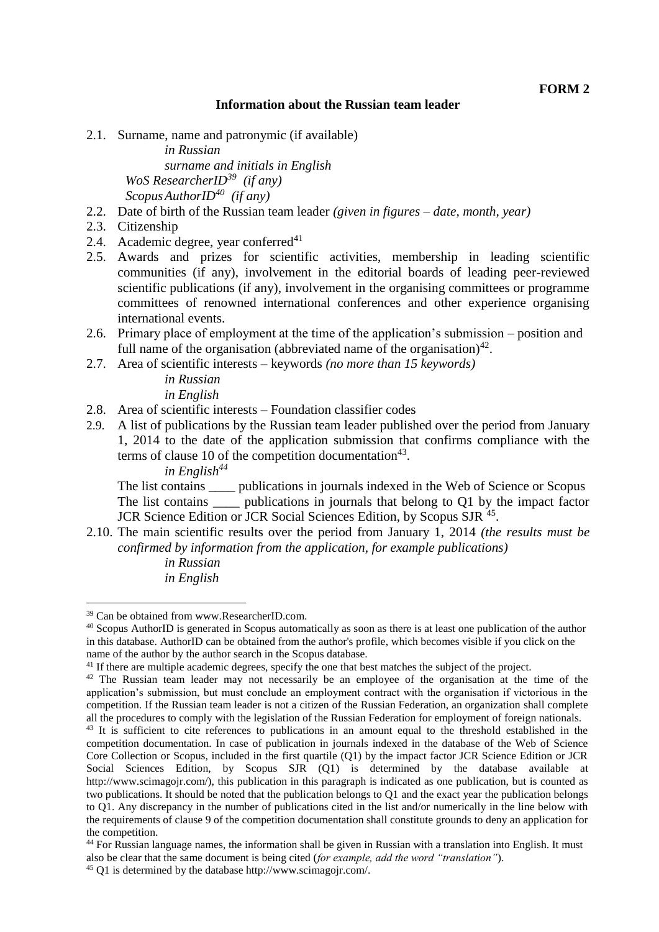#### **Information about the Russian team leader**

2.1. Surname, name and patronymic (if available)

*in Russian surname and initials in English WoS ResearcherID<sup>39</sup> (if any) ScopusAuthorID<sup>40</sup> (if any)*

- 2.2. Date of birth of the Russian team leader *(given in figures – date, month, year)*
- 2.3. Citizenship
- 2.4. Academic degree, year conferred $41$
- 2.5. Awards and prizes for scientific activities, membership in leading scientific communities (if any), involvement in the editorial boards of leading peer-reviewed scientific publications (if any), involvement in the organising committees or programme committees of renowned international conferences and other experience organising international events.
- 2.6. Primary place of employment at the time of the application's submission position and full name of the organisation (abbreviated name of the organisation) $42$ .
- 2.7. Area of scientific interests keywords *(no more than 15 keywords)*

*in Russian in English*

- 2.8. Area of scientific interests Foundation classifier codes
- 2.9. A list of publications by the Russian team leader published over the period from January 1, 2014 to the date of the application submission that confirms compliance with the terms of clause 10 of the competition documentation<sup>43</sup>. *in English<sup>44</sup>*

The list contains \_\_\_\_ publications in journals indexed in the Web of Science or Scopus The list contains \_\_\_\_\_ publications in journals that belong to Q1 by the impact factor JCR Science Edition or JCR Social Sciences Edition, by Scopus SJR<sup>45</sup>.

2.10. The main scientific results over the period from January 1, 2014 *(the results must be confirmed by information from the application, for example publications) in Russian in English*

<sup>39</sup> Can be obtained from www.ResearcherID.com.

<sup>&</sup>lt;sup>40</sup> Scopus AuthorID is generated in Scopus automatically as soon as there is at least one publication of the author in this database. AuthorID can be obtained from the author's profile, which becomes visible if you click on the name of the author by the author search in the Scopus database.

<sup>&</sup>lt;sup>41</sup> If there are multiple academic degrees, specify the one that best matches the subject of the project.

<sup>&</sup>lt;sup>42</sup> The Russian team leader may not necessarily be an employee of the organisation at the time of the application's submission, but must conclude an employment contract with the organisation if victorious in the competition. If the Russian team leader is not a citizen of the Russian Federation, an organization shall complete all the procedures to comply with the legislation of the Russian Federation for employment of foreign nationals.

<sup>&</sup>lt;sup>43</sup> It is sufficient to cite references to publications in an amount equal to the threshold established in the competition documentation. In case of publication in journals indexed in the database of the Web of Science Core Collection or Scopus, included in the first quartile (Q1) by the impact factor JCR Science Edition or JCR Social Sciences Edition, by Scopus SJR (Q1) is determined by the database available at http://www.scimagojr.com/), this publication in this paragraph is indicated as one publication, but is counted as two publications. It should be noted that the publication belongs to Q1 and the exact year the publication belongs to Q1. Any discrepancy in the number of publications cited in the list and/or numerically in the line below with the requirements of clause 9 of the competition documentation shall constitute grounds to deny an application for the competition.

<sup>&</sup>lt;sup>44</sup> For Russian language names, the information shall be given in Russian with a translation into English. It must also be clear that the same document is being cited (*for example, add the word "translation"*).

<sup>45</sup> Q1 is determined by the database http://www.scimagojr.com/.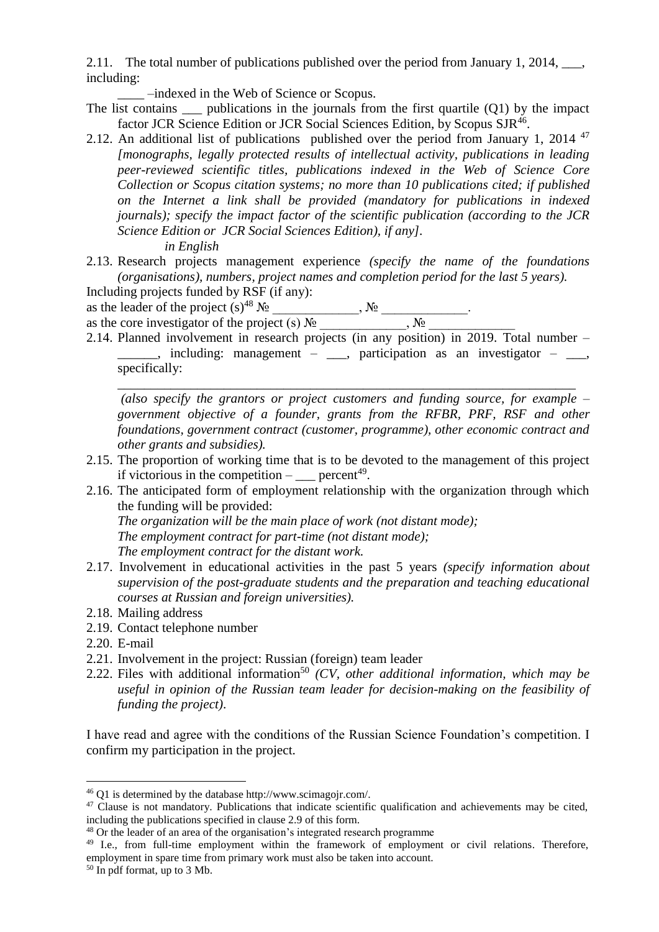2.11. The total number of publications published over the period from January 1, 2014,  $\qquad \qquad$ including:

\_\_\_\_ –indexed in the Web of Science or Scopus.

- The list contains  $\qquad$  publications in the journals from the first quartile (Q1) by the impact factor JCR Science Edition or JCR Social Sciences Edition, by Scopus SJR<sup>46</sup>.
- 2.12. An additional list of publications published over the period from January 1, 2014<sup>47</sup> *[monographs, legally protected results of intellectual activity, publications in leading peer-reviewed scientific titles, publications indexed in the Web of Science Core Collection or Scopus citation systems; no more than 10 publications cited; if published on the Internet a link shall be provided (mandatory for publications in indexed journals); specify the impact factor of the scientific publication (according to the JCR Science Edition or JCR Social Sciences Edition), if any]. in English*
- 2.13. Research projects management experience *(specify the name of the foundations (organisations), numbers, project names and completion period for the last 5 years).*

Including projects funded by RSF (if any): as the leader of the project  $(s)^{48} N_2$ ,  $N_2$ ,  $N_2$ 

as the core investigator of the project (s)  $\mathcal{N}_{\mathfrak{D}}$  \_\_\_\_\_\_\_\_\_\_\_\_,  $\mathcal{N}_{\mathfrak{D}}$ 

2.14. Planned involvement in research projects (in any position) in 2019. Total number –  $\frac{1}{\sqrt{2}}$ , including: management –  $\frac{1}{\sqrt{2}}$ , participation as an investigator –  $\frac{1}{\sqrt{2}}$ , specifically:

*(also specify the grantors or project customers and funding source, for example – government objective of a founder, grants from the RFBR, PRF, RSF and other foundations, government contract (customer, programme), other economic contract and other grants and subsidies).*

\_\_\_\_\_\_\_\_\_\_\_\_\_\_\_\_\_\_\_\_\_\_\_\_\_\_\_\_\_\_\_\_\_\_\_\_\_\_\_\_\_\_\_\_\_\_\_\_\_\_\_\_\_\_\_\_\_\_\_\_\_\_\_\_\_\_\_\_\_

- 2.15. The proportion of working time that is to be devoted to the management of this project if victorious in the competition  $-\underline{\hspace{2cm}}$  percent<sup>49</sup>.
- 2.16. The anticipated form of employment relationship with the organization through which the funding will be provided:

*The organization will be the main place of work (not distant mode); The employment contract for part-time (not distant mode); The employment contract for the distant work.*

- 2.17. Involvement in educational activities in the past 5 years *(specify information about supervision of the post-graduate students and the preparation and teaching educational courses at Russian and foreign universities).*
- 2.18. Mailing address
- 2.19. Contact telephone number
- 2.20. E-mail

1

- 2.21. Involvement in the project: Russian (foreign) team leader
- 2.22. Files with additional information<sup>50</sup> *(CV, other additional information, which may be useful in opinion of the Russian team leader for decision-making on the feasibility of funding the project)*.

I have read and agree with the conditions of the Russian Science Foundation's competition. I confirm my participation in the project.

<sup>46</sup> Q1 is determined by the database http://www.scimagojr.com/.

<sup>&</sup>lt;sup>47</sup> Clause is not mandatory. Publications that indicate scientific qualification and achievements may be cited, including the publications specified in clause 2.9 of this form.

<sup>48</sup> Or the leader of an area of the organisation's integrated research programme

<sup>&</sup>lt;sup>49</sup> I.e., from full-time employment within the framework of employment or civil relations. Therefore, employment in spare time from primary work must also be taken into account.

<sup>&</sup>lt;sup>50</sup> In pdf format, up to 3 Mb.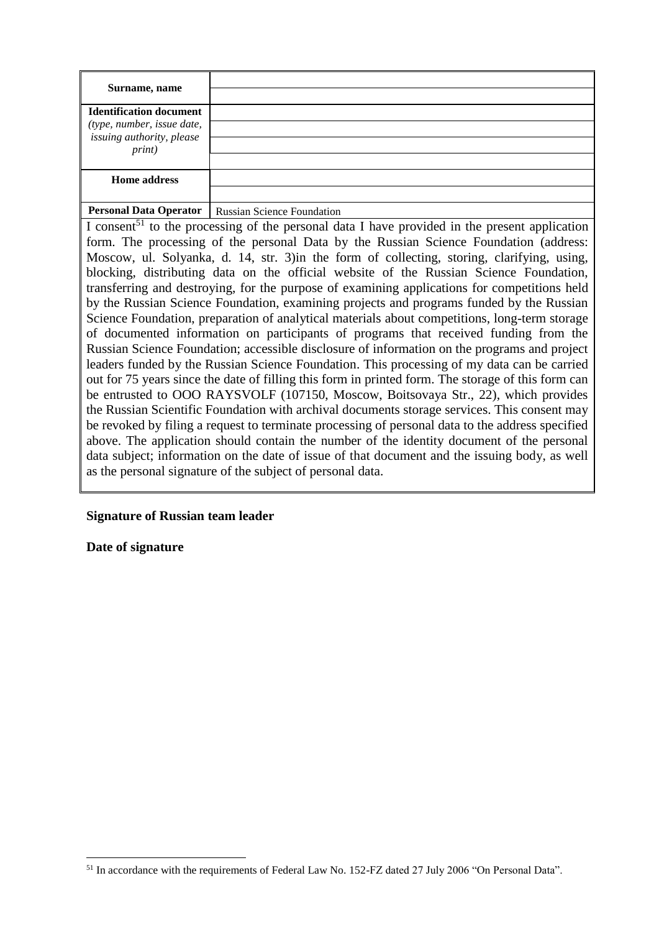| Surname, name                                                |  |
|--------------------------------------------------------------|--|
| <b>Identification document</b><br>(type, number, issue date, |  |
| issuing authority, please<br>print)                          |  |
|                                                              |  |
| <b>Home address</b>                                          |  |
|                                                              |  |
|                                                              |  |

#### **Personal Data Operator** Russian Science Foundation

I consent<sup>51</sup> to the processing of the personal data I have provided in the present application form. The processing of the personal Data by the Russian Science Foundation (address: Moscow, ul. Solyanka, d. 14, str. 3)in the form of collecting, storing, clarifying, using, blocking, distributing data on the official website of the Russian Science Foundation, transferring and destroying, for the purpose of examining applications for competitions held by the Russian Science Foundation, examining projects and programs funded by the Russian Science Foundation, preparation of analytical materials about competitions, long-term storage of documented information on participants of programs that received funding from the Russian Science Foundation; accessible disclosure of information on the programs and project leaders funded by the Russian Science Foundation. This processing of my data can be carried out for 75 years since the date of filling this form in printed form. The storage of this form can be entrusted to OOO RAYSVOLF (107150, Moscow, Boitsovaya Str., 22), which provides the Russian Scientific Foundation with archival documents storage services. This consent may be revoked by filing a request to terminate processing of personal data to the address specified above. The application should contain the number of the identity document of the personal data subject; information on the date of issue of that document and the issuing body, as well as the personal signature of the subject of personal data.

#### **Signature of Russian team leader**

**Date of signature**

<sup>&</sup>lt;sup>51</sup> In accordance with the requirements of Federal Law No. 152-FZ dated 27 July 2006 "On Personal Data".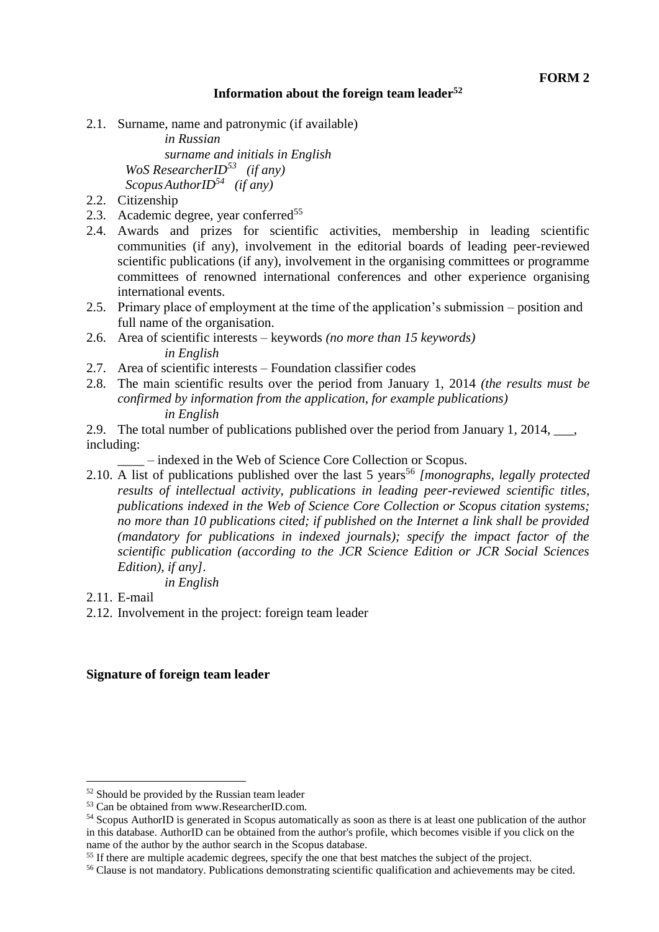#### **Information about the foreign team leader<sup>52</sup>**

2.1. Surname, name and patronymic (if available)

*in Russian surname and initials in English WoS ResearcherID<sup>53</sup> (if any) ScopusAuthorID<sup>54</sup> (if any)*

- 2.2. Citizenship
- 2.3. Academic degree, year conferred<sup>55</sup>
- 2.4. Awards and prizes for scientific activities, membership in leading scientific communities (if any), involvement in the editorial boards of leading peer-reviewed scientific publications (if any), involvement in the organising committees or programme committees of renowned international conferences and other experience organising international events.
- 2.5. Primary place of employment at the time of the application's submission position and full name of the organisation.
- 2.6. Area of scientific interests keywords *(no more than 15 keywords) in English*
- 2.7. Area of scientific interests Foundation classifier codes
- 2.8. The main scientific results over the period from January 1, 2014 *(the results must be confirmed by information from the application, for example publications) in English*
- 2.9. The total number of publications published over the period from January 1, 2014, \_\_\_, including:

\_\_\_\_ – indexed in the Web of Science Core Collection or Scopus.

2.10. A list of publications published over the last 5 years<sup>56</sup> [monographs, legally protected *results of intellectual activity, publications in leading peer-reviewed scientific titles, publications indexed in the Web of Science Core Collection or Scopus citation systems; no more than 10 publications cited; if published on the Internet a link shall be provided (mandatory for publications in indexed journals); specify the impact factor of the scientific publication (according to the JCR Science Edition or JCR Social Sciences Edition), if any].*

*in English*

2.11. E-mail

1

2.12. Involvement in the project: foreign team leader

#### **Signature of foreign team leader**

<sup>52</sup> Should be provided by the Russian team leader

<sup>53</sup> Can be obtained from www.ResearcherID.com.

<sup>54</sup> Scopus AuthorID is generated in Scopus automatically as soon as there is at least one publication of the author in this database. AuthorID can be obtained from the author's profile, which becomes visible if you click on the name of the author by the author search in the Scopus database.

<sup>&</sup>lt;sup>55</sup> If there are multiple academic degrees, specify the one that best matches the subject of the project.

<sup>56</sup> Clause is not mandatory. Publications demonstrating scientific qualification and achievements may be cited.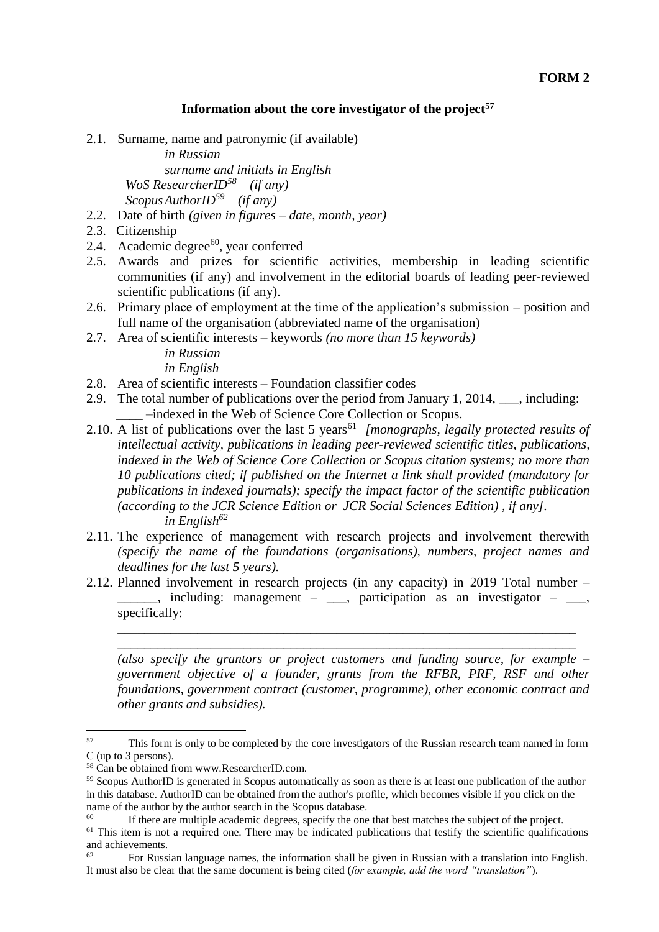#### **Information about the core investigator of the project<sup>57</sup>**

2.1. Surname, name and patronymic (if available)

*in Russian surname and initials in English WoS ResearcherID<sup>58</sup> (if any) ScopusAuthorID<sup>59</sup> (if any)*

- 2.2. Date of birth *(given in figures – date, month, year)*
- 2.3. Citizenship
- 2.4. Academic degree $60$ , year conferred
- 2.5. Awards and prizes for scientific activities, membership in leading scientific communities (if any) and involvement in the editorial boards of leading peer-reviewed scientific publications (if any).
- 2.6. Primary place of employment at the time of the application's submission position and full name of the organisation (abbreviated name of the organisation)
- 2.7. Area of scientific interests keywords *(no more than 15 keywords)*

*in Russian in English*

- 2.8. Area of scientific interests Foundation classifier codes
- 2.9. The total number of publications over the period from January 1, 2014, \_\_\_, including: \_\_\_\_ –indexed in the Web of Science Core Collection or Scopus.
- 2.10. A list of publications over the last 5 years<sup>61</sup> [monographs, legally protected results of *intellectual activity, publications in leading peer-reviewed scientific titles, publications, indexed in the Web of Science Core Collection or Scopus citation systems; no more than 10 publications cited; if published on the Internet a link shall provided (mandatory for publications in indexed journals); specify the impact factor of the scientific publication (according to the JCR Science Edition or JCR Social Sciences Edition) , if any]. in English<sup>62</sup>*
- 2.11. The experience of management with research projects and involvement therewith *(specify the name of the foundations (organisations), numbers, project names and deadlines for the last 5 years).*
- 2.12. Planned involvement in research projects (in any capacity) in 2019 Total number  $\Box$ , including: management –  $\Box$ , participation as an investigator –  $\Box$ , specifically:

\_\_\_\_\_\_\_\_\_\_\_\_\_\_\_\_\_\_\_\_\_\_\_\_\_\_\_\_\_\_\_\_\_\_\_\_\_\_\_\_\_\_\_\_\_\_\_\_\_\_\_\_\_\_\_\_\_\_\_\_\_\_\_\_\_\_\_\_\_ \_\_\_\_\_\_\_\_\_\_\_\_\_\_\_\_\_\_\_\_\_\_\_\_\_\_\_\_\_\_\_\_\_\_\_\_\_\_\_\_\_\_\_\_\_\_\_\_\_\_\_\_\_\_\_\_\_\_\_\_\_\_\_\_\_\_\_\_\_

*(also specify the grantors or project customers and funding source, for example – government objective of a founder, grants from the RFBR, PRF, RSF and other foundations, government contract (customer, programme), other economic contract and other grants and subsidies).*

<sup>&</sup>lt;sup>57</sup> This form is only to be completed by the core investigators of the Russian research team named in form C (up to 3 persons).

<sup>58</sup> Can be obtained from www.ResearcherID.com.

<sup>59</sup> Scopus AuthorID is generated in Scopus automatically as soon as there is at least one publication of the author in this database. AuthorID can be obtained from the author's profile, which becomes visible if you click on the name of the author by the author search in the Scopus database.

If there are multiple academic degrees, specify the one that best matches the subject of the project.  $61$  This item is not a required one. There may be indicated publications that testify the scientific qualifications and achievements.

<sup>62</sup> For Russian language names, the information shall be given in Russian with a translation into English. It must also be clear that the same document is being cited (*for example, add the word "translation"*).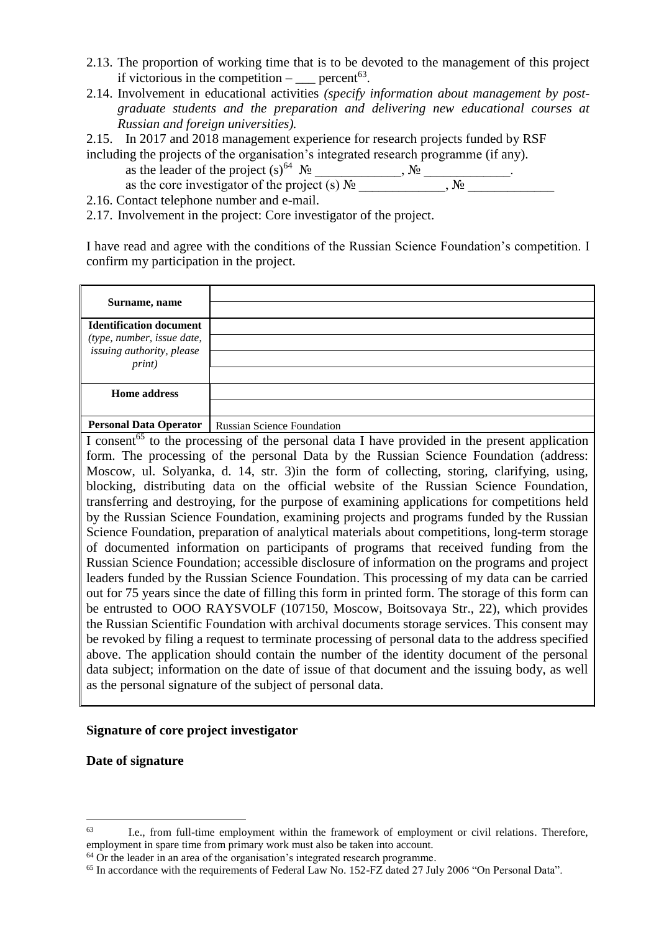- 2.13. The proportion of working time that is to be devoted to the management of this project if victorious in the competition  $-\underline{\hspace{2cm}}$  percent<sup>63</sup>.
- 2.14. Involvement in educational activities *(specify information about management by postgraduate students and the preparation and delivering new educational courses at Russian and foreign universities).*
- 2.15. In 2017 and 2018 management experience for research projects funded by RSF including the projects of the organisation's integrated research programme (if any).
	- as the leader of the project  $(s)^{64}$   $\mathcal{N}_2$  ,  $\mathcal{N}_3$  ,  $\mathcal{N}_4$
	- as the core investigator of the project (s)  $\mathcal{N}_2$  \_\_\_\_\_\_\_\_\_\_\_,  $\mathcal{N}_2$
- 2.16. Contact telephone number and e-mail.
- 2.17. Involvement in the project: Core investigator of the project.

I have read and agree with the conditions of the Russian Science Foundation's competition. I confirm my participation in the project.

| Surname, name                                                                                      |                                                                                                           |  |
|----------------------------------------------------------------------------------------------------|-----------------------------------------------------------------------------------------------------------|--|
| <b>Identification document</b>                                                                     |                                                                                                           |  |
| (type, number, issue date,                                                                         |                                                                                                           |  |
| issuing authority, please                                                                          |                                                                                                           |  |
| <i>print</i> )                                                                                     |                                                                                                           |  |
|                                                                                                    |                                                                                                           |  |
| <b>Home address</b>                                                                                |                                                                                                           |  |
|                                                                                                    |                                                                                                           |  |
|                                                                                                    | Personal Data Operator   Russian Science Foundation                                                       |  |
|                                                                                                    | I consent <sup>65</sup> to the processing of the personal data I have provided in the present application |  |
| form. The processing of the personal Data by the Russian Science Foundation (address:              |                                                                                                           |  |
| Moscow, ul. Solyanka, d. 14, str. 3) in the form of collecting, storing, clarifying, using,        |                                                                                                           |  |
|                                                                                                    | blocking, distributing data on the official website of the Russian Science Foundation,                    |  |
| transferring and destroying, for the purpose of examining applications for competitions held       |                                                                                                           |  |
| by the Russian Science Foundation, examining projects and programs funded by the Russian           |                                                                                                           |  |
| Science Foundation, preparation of analytical materials about competitions, long-term storage      |                                                                                                           |  |
| of documented information on participants of programs that received funding from the               |                                                                                                           |  |
| Russian Science Foundation; accessible disclosure of information on the programs and project       |                                                                                                           |  |
| leaders funded by the Russian Science Foundation. This processing of my data can be carried        |                                                                                                           |  |
| out for 75 years since the date of filling this form in printed form. The storage of this form can |                                                                                                           |  |
| be entrusted to OOO RAYSVOLF (107150, Moscow, Boitsovaya Str., 22), which provides                 |                                                                                                           |  |
| the Russian Scientific Foundation with archival documents storage services. This consent may       |                                                                                                           |  |
| be revoked by filing a request to terminate processing of personal data to the address specified   |                                                                                                           |  |
| above. The application should contain the number of the identity document of the personal          |                                                                                                           |  |
| data subject; information on the date of issue of that document and the issuing body, as well      |                                                                                                           |  |
| as the personal signature of the subject of personal data.                                         |                                                                                                           |  |

#### **Signature of core project investigator**

**Date of signature**

 $^{63}$  I.e., from full-time employment within the framework of employment or civil relations. Therefore, employment in spare time from primary work must also be taken into account.

<sup>&</sup>lt;sup>64</sup> Or the leader in an area of the organisation's integrated research programme.

<sup>&</sup>lt;sup>65</sup> In accordance with the requirements of Federal Law No. 152-FZ dated 27 July 2006 "On Personal Data".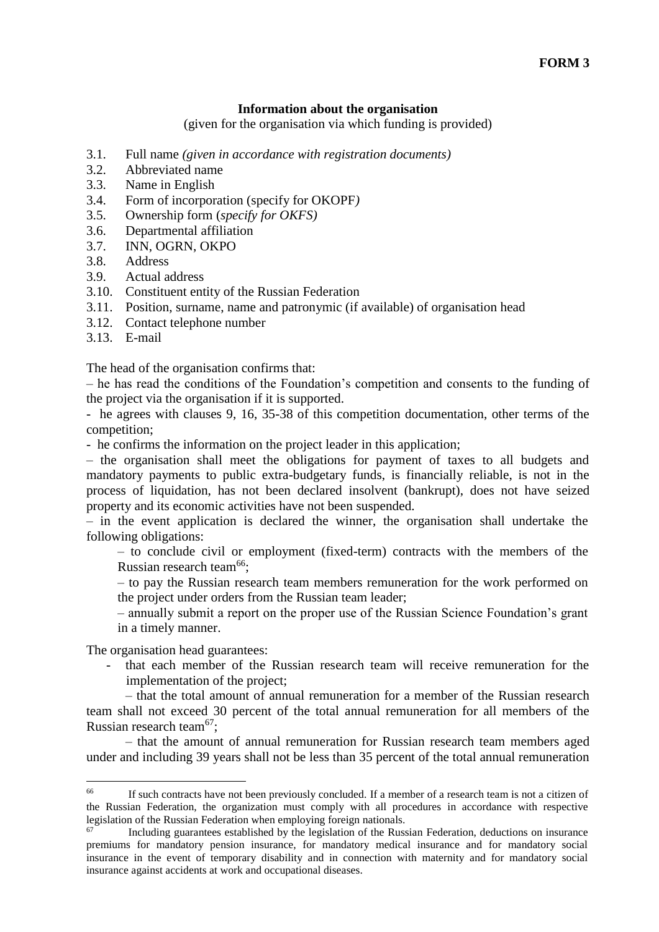#### **Information about the organisation**

(given for the organisation via which funding is provided)

- 3.1. Full name *(given in accordance with registration documents)*
- 3.2. Abbreviated name
- 3.3. Name in English
- 3.4. Form of incorporation (specify for OKOPF*)*
- 3.5. Ownership form (*specify for OKFS)*
- 3.6. Departmental affiliation
- 3.7. INN, OGRN, OKPO
- 3.8. Address
- 3.9. Actual address
- 3.10. Constituent entity of the Russian Federation
- 3.11. Position, surname, name and patronymic (if available) of organisation head
- 3.12. Contact telephone number
- 3.13. E-mail

The head of the organisation confirms that:

– he has read the conditions of the Foundation's competition and consents to the funding of the project via the organisation if it is supported.

- he agrees with clauses 9, 16, 35-38 of this competition documentation, other terms of the competition;

- he confirms the information on the project leader in this application;

– the organisation shall meet the obligations for payment of taxes to all budgets and mandatory payments to public extra-budgetary funds, is financially reliable, is not in the process of liquidation, has not been declared insolvent (bankrupt), does not have seized property and its economic activities have not been suspended.

– in the event application is declared the winner, the organisation shall undertake the following obligations:

– to conclude civil or employment (fixed-term) contracts with the members of the Russian research team<sup>66</sup>:

– to pay the Russian research team members remuneration for the work performed on the project under orders from the Russian team leader;

– annually submit a report on the proper use of the Russian Science Foundation's grant in a timely manner.

The organisation head guarantees:

1

that each member of the Russian research team will receive remuneration for the implementation of the project;

– that the total amount of annual remuneration for a member of the Russian research team shall not exceed 30 percent of the total annual remuneration for all members of the Russian research team<sup>67</sup>:

– that the amount of annual remuneration for Russian research team members aged under and including 39 years shall not be less than 35 percent of the total annual remuneration

<sup>&</sup>lt;sup>66</sup> If such contracts have not been previously concluded. If a member of a research team is not a citizen of the Russian Federation, the organization must comply with all procedures in accordance with respective legislation of the Russian Federation when employing foreign nationals.

Including guarantees established by the legislation of the Russian Federation, deductions on insurance premiums for mandatory pension insurance, for mandatory medical insurance and for mandatory social insurance in the event of temporary disability and in connection with maternity and for mandatory social insurance against accidents at work and occupational diseases.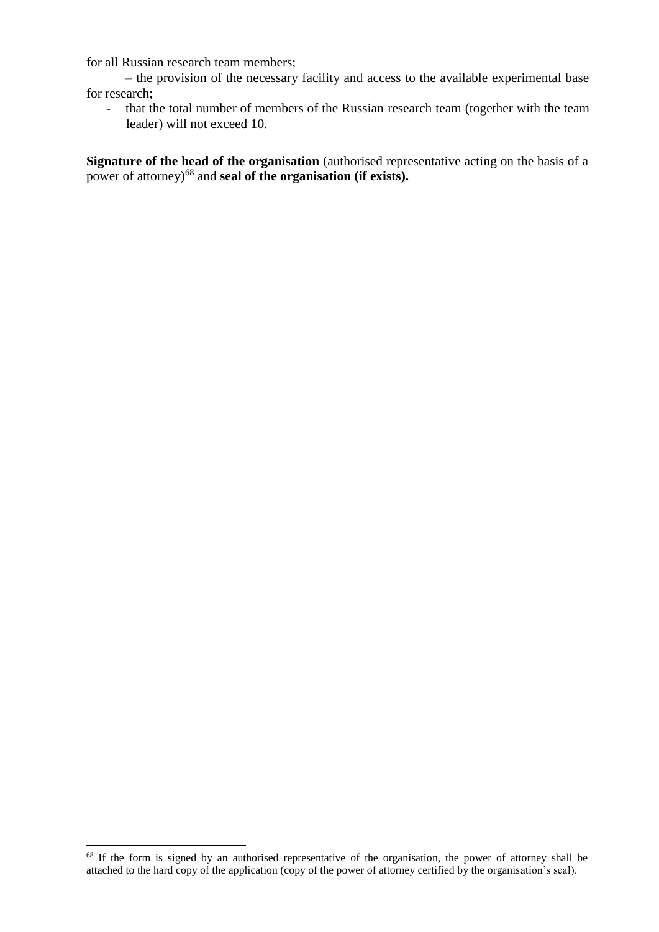for all Russian research team members;

– the provision of the necessary facility and access to the available experimental base for research;

- that the total number of members of the Russian research team (together with the team leader) will not exceed 10.

**Signature of the head of the organisation** (authorised representative acting on the basis of a power of attorney)<sup>68</sup> and **seal of the organisation (if exists).**

<sup>&</sup>lt;sup>68</sup> If the form is signed by an authorised representative of the organisation, the power of attorney shall be attached to the hard copy of the application (copy of the power of attorney certified by the organisation's seal).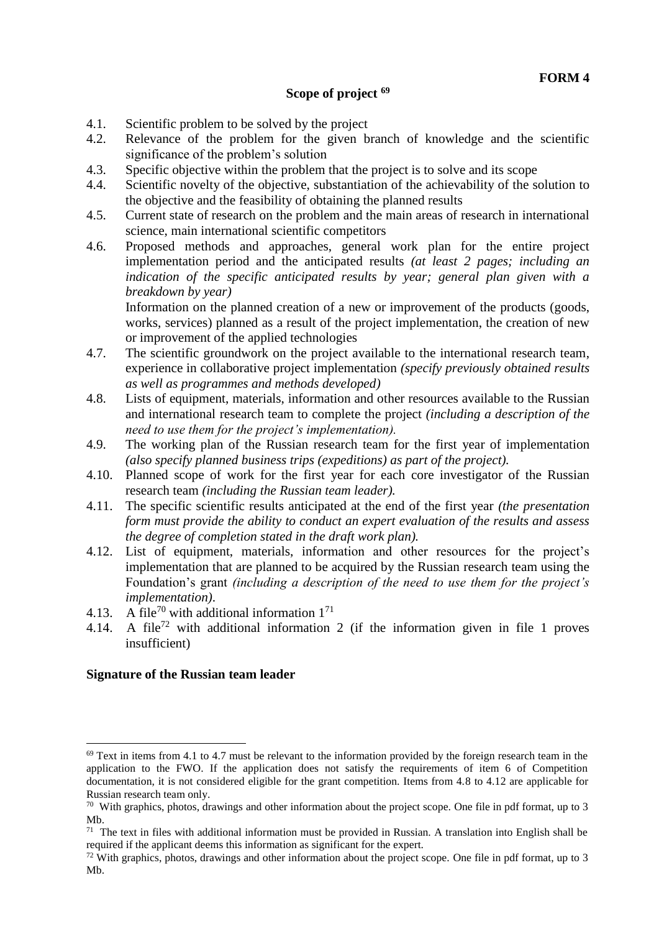#### **Scope of project <sup>69</sup>**

- 4.1. Scientific problem to be solved by the project
- 4.2. Relevance of the problem for the given branch of knowledge and the scientific significance of the problem's solution
- 4.3. Specific objective within the problem that the project is to solve and its scope
- 4.4. Scientific novelty of the objective, substantiation of the achievability of the solution to the objective and the feasibility of obtaining the planned results
- 4.5. Current state of research on the problem and the main areas of research in international science, main international scientific competitors
- 4.6. Proposed methods and approaches, general work plan for the entire project implementation period and the anticipated results *(at least 2 pages; including an indication of the specific anticipated results by year; general plan given with a breakdown by year)*

Information on the planned creation of a new or improvement of the products (goods, works, services) planned as a result of the project implementation, the creation of new or improvement of the applied technologies

- 4.7. The scientific groundwork on the project available to the international research team, experience in collaborative project implementation *(specify previously obtained results as well as programmes and methods developed)*
- 4.8. Lists of equipment, materials, information and other resources available to the Russian and international research team to complete the project *(including a description of the need to use them for the project's implementation).*
- 4.9. The working plan of the Russian research team for the first year of implementation *(also specify planned business trips (expeditions) as part of the project).*
- 4.10. Planned scope of work for the first year for each core investigator of the Russian research team *(including the Russian team leader).*
- 4.11. The specific scientific results anticipated at the end of the first year *(the presentation form must provide the ability to conduct an expert evaluation of the results and assess the degree of completion stated in the draft work plan).*
- 4.12. List of equipment, materials, information and other resources for the project's implementation that are planned to be acquired by the Russian research team using the Foundation's grant *(including a description of the need to use them for the project's implementation)*.
- 4.13. A file<sup>70</sup> with additional information  $1^{71}$
- 4.14. A file<sup>72</sup> with additional information 2 (if the information given in file 1 proves insufficient)

#### **Signature of the Russian team leader**

 $69$  Text in items from 4.1 to 4.7 must be relevant to the information provided by the foreign research team in the application to the FWO. If the application does not satisfy the requirements of item 6 of Competition documentation, it is not considered eligible for the grant competition. Items from 4.8 to 4.12 are applicable for Russian research team only.

<sup>&</sup>lt;sup>70</sup> With graphics, photos, drawings and other information about the project scope. One file in pdf format, up to 3 Mb.

 $71$  The text in files with additional information must be provided in Russian. A translation into English shall be required if the applicant deems this information as significant for the expert.

 $72$  With graphics, photos, drawings and other information about the project scope. One file in pdf format, up to 3 Mb.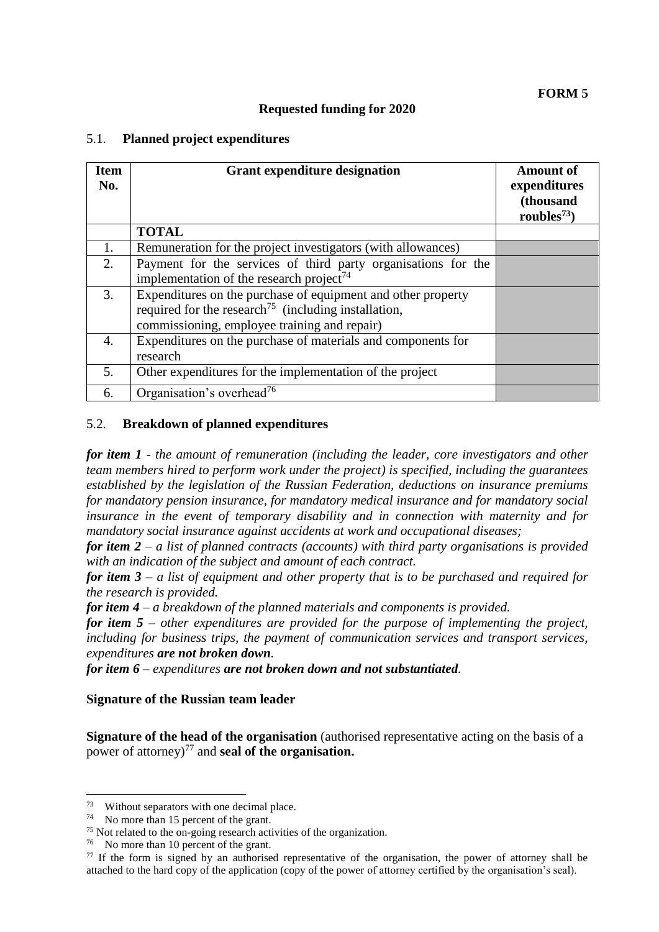#### **Requested funding for 2020**

#### 5.1. **Planned project expenditures**

| <b>Item</b><br>No. | <b>Grant expenditure designation</b>                                                                                                                                             | <b>Amount of</b><br>expenditures<br>(thousand<br>roubles $^{73}$ ) |
|--------------------|----------------------------------------------------------------------------------------------------------------------------------------------------------------------------------|--------------------------------------------------------------------|
|                    | <b>TOTAL</b>                                                                                                                                                                     |                                                                    |
| 1.                 | Remuneration for the project investigators (with allowances)                                                                                                                     |                                                                    |
| 2.                 | Payment for the services of third party organisations for the<br>implementation of the research project <sup>74</sup>                                                            |                                                                    |
| 3.                 | Expenditures on the purchase of equipment and other property<br>required for the research <sup>75</sup> (including installation,<br>commissioning, employee training and repair) |                                                                    |
| $\overline{4}$ .   | Expenditures on the purchase of materials and components for<br>research                                                                                                         |                                                                    |
| 5.                 | Other expenditures for the implementation of the project                                                                                                                         |                                                                    |
| 6.                 | Organisation's overhead <sup>76</sup>                                                                                                                                            |                                                                    |

#### 5.2. **Breakdown of planned expenditures**

*for item 1 - the amount of remuneration (including the leader, core investigators and other team members hired to perform work under the project) is specified, including the guarantees established by the legislation of the Russian Federation, deductions on insurance premiums for mandatory pension insurance, for mandatory medical insurance and for mandatory social insurance in the event of temporary disability and in connection with maternity and for mandatory social insurance against accidents at work and occupational diseases;* 

*for item 2* – *a list of planned contracts (accounts) with third party organisations is provided with an indication of the subject and amount of each contract.*

*for item 3 – a list of equipment and other property that is to be purchased and required for the research is provided.*

*for item 4 – a breakdown of the planned materials and components is provided.*

*for item 5 – other expenditures are provided for the purpose of implementing the project, including for business trips, the payment of communication services and transport services, expenditures are not broken down.*

*for item 6 – expenditures are not broken down and not substantiated.* 

#### **Signature of the Russian team leader**

**Signature of the head of the organisation** (authorised representative acting on the basis of a power of attorney)<sup>77</sup> and **seal of the organisation.** 

Without separators with one decimal place.

<sup>74</sup> No more than 15 percent of the grant.

<sup>75</sup> Not related to the on-going research activities of the organization.

<sup>76</sup> No more than 10 percent of the grant.

 $77$  If the form is signed by an authorised representative of the organisation, the power of attorney shall be attached to the hard copy of the application (copy of the power of attorney certified by the organisation's seal).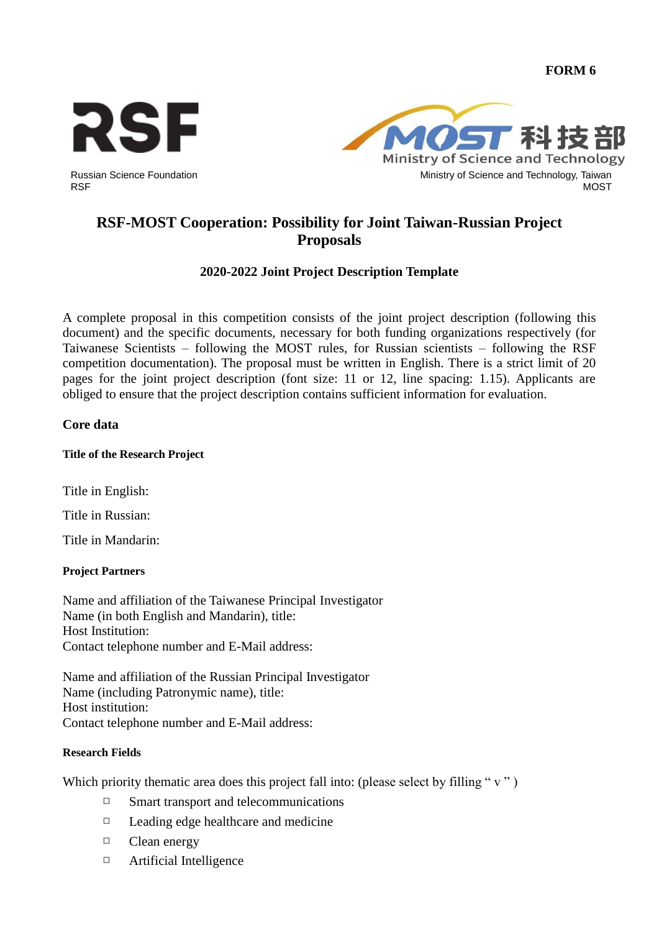**FORM 6**





# **RSF-MOST Cooperation: Possibility for Joint Taiwan-Russian Project Proposals**

# **2020-2022 Joint Project Description Template**

A complete proposal in this competition consists of the joint project description (following this document) and the specific documents, necessary for both funding organizations respectively (for Taiwanese Scientists – following the MOST rules, for Russian scientists – following the RSF competition documentation). The proposal must be written in English. There is a strict limit of 20 pages for the joint project description (font size: 11 or 12, line spacing: 1.15). Applicants are obliged to ensure that the project description contains sufficient information for evaluation.

# **Core data**

# **Title of the Research Project**

Title in English:

Title in Russian:

Title in Mandarin:

# **Project Partners**

Name and affiliation of the Taiwanese Principal Investigator Name (in both English and Mandarin), title: Host Institution: Contact telephone number and E-Mail address:

Name and affiliation of the Russian Principal Investigator Name (including Patronymic name), title: Host institution: Contact telephone number and E-Mail address:

# **Research Fields**

Which priority thematic area does this project fall into: (please select by filling "v")

- $\Box$  Smart transport and telecommunications
- □ Leading edge healthcare and medicine
- □ Clean energy
- □ Artificial Intelligence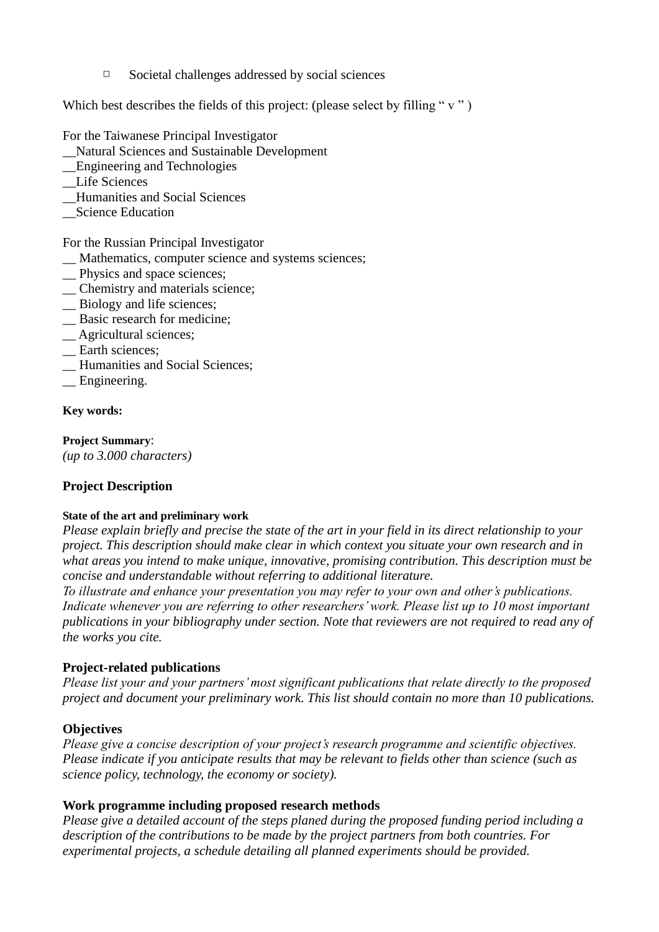$\Box$  Societal challenges addressed by social sciences

Which best describes the fields of this project: (please select by filling " $v$ ")

For the Taiwanese Principal Investigator

- \_\_Natural Sciences and Sustainable Development
- \_\_Engineering and Technologies
- Life Sciences
- \_\_Humanities and Social Sciences
- \_\_Science Education

For the Russian Principal Investigator

- \_\_ Mathematics, computer science and systems sciences;
- \_\_ Physics and space sciences;
- \_\_ Chemistry and materials science;
- \_\_ Biology and life sciences;
- \_\_ Basic research for medicine;
- \_\_ Agricultural sciences;
- \_\_ Earth sciences;
- \_\_ Humanities and Social Sciences;
- \_\_ Engineering.

#### **Key words:**

**Project Summary**: *(up to 3.000 characters)*

# **Project Description**

#### **State of the art and preliminary work**

*Please explain briefly and precise the state of the art in your field in its direct relationship to your project. This description should make clear in which context you situate your own research and in what areas you intend to make unique, innovative, promising contribution. This description must be concise and understandable without referring to additional literature.*

*To illustrate and enhance your presentation you may refer to your own and other's publications. Indicate whenever you are referring to other researchers' work. Please list up to 10 most important publications in your bibliography under section. Note that reviewers are not required to read any of the works you cite.*

# **Project-related publications**

*Please list your and your partners' most significant publications that relate directly to the proposed project and document your preliminary work. This list should contain no more than 10 publications.*

# **Objectives**

*Please give a concise description of your project's research programme and scientific objectives. Please indicate if you anticipate results that may be relevant to fields other than science (such as science policy, technology, the economy or society).* 

# **Work programme including proposed research methods**

*Please give a detailed account of the steps planed during the proposed funding period including a description of the contributions to be made by the project partners from both countries. For experimental projects, a schedule detailing all planned experiments should be provided.*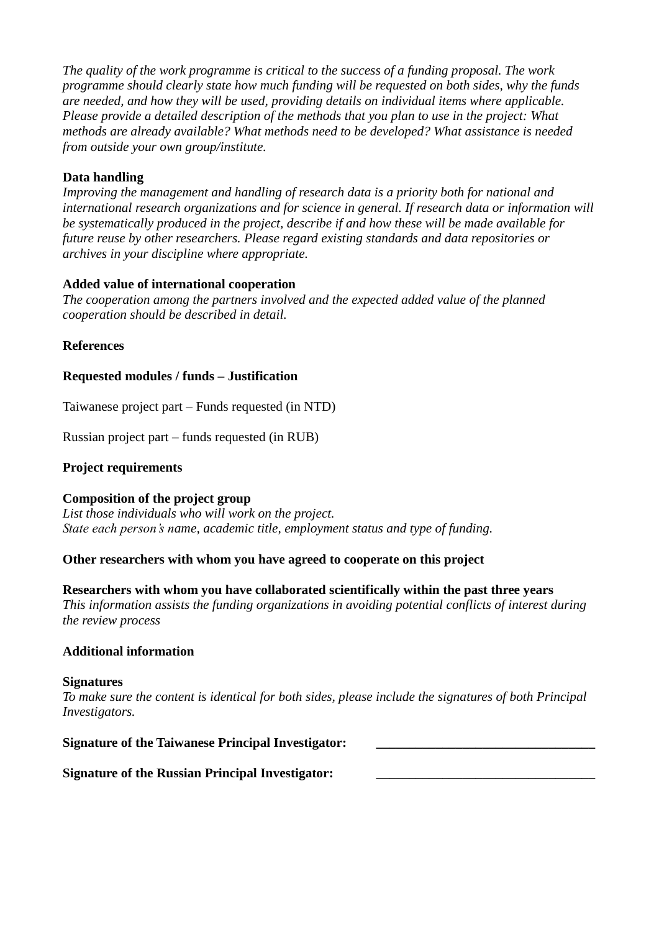*The quality of the work programme is critical to the success of a funding proposal. The work programme should clearly state how much funding will be requested on both sides, why the funds are needed, and how they will be used, providing details on individual items where applicable. Please provide a detailed description of the methods that you plan to use in the project: What methods are already available? What methods need to be developed? What assistance is needed from outside your own group/institute.*

# **Data handling**

*Improving the management and handling of research data is a priority both for national and international research organizations and for science in general. If research data or information will be systematically produced in the project, describe if and how these will be made available for future reuse by other researchers. Please regard existing standards and data repositories or archives in your discipline where appropriate.*

# **Added value of international cooperation**

*The cooperation among the partners involved and the expected added value of the planned cooperation should be described in detail.*

# **References**

# **Requested modules / funds – Justification**

Taiwanese project part – Funds requested (in NTD)

Russian project part – funds requested (in RUB)

# **Project requirements**

# **Composition of the project group**

*List those individuals who will work on the project. State each person's name, academic title, employment status and type of funding.*

# **Other researchers with whom you have agreed to cooperate on this project**

**Researchers with whom you have collaborated scientifically within the past three years** *This information assists the funding organizations in avoiding potential conflicts of interest during the review process*

# **Additional information**

#### **Signatures**

*To make sure the content is identical for both sides, please include the signatures of both Principal Investigators.*

| <b>Signature of the Taiwanese Principal Investigator:</b> |  |
|-----------------------------------------------------------|--|
|-----------------------------------------------------------|--|

# **Signature of the Russian Principal Investigator:**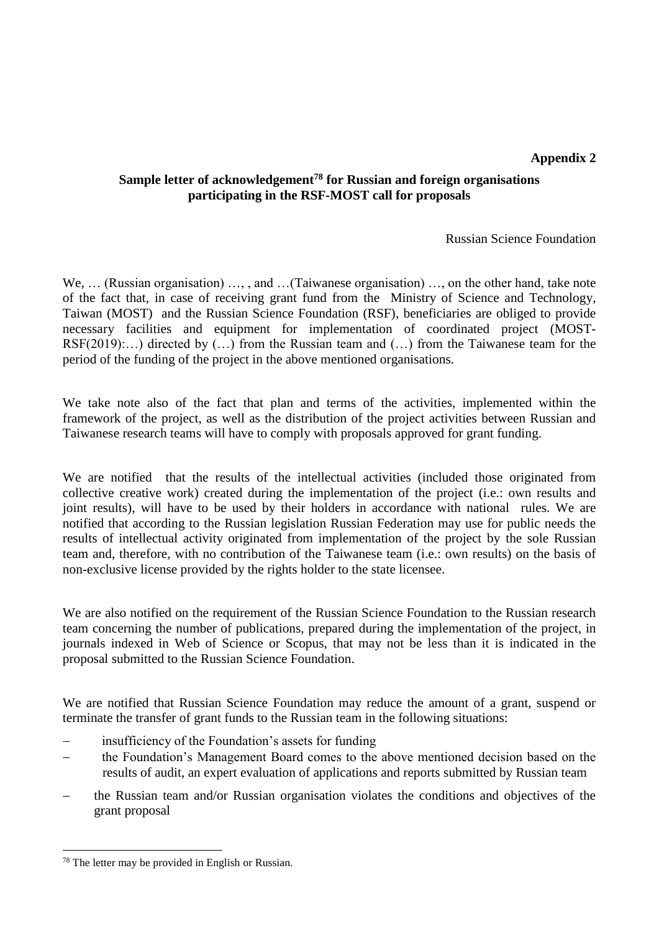#### **Appendix 2**

# **Sample letter of acknowledgement<sup>78</sup> for Russian and foreign organisations participating in the RSF-MOST call for proposals**

Russian Science Foundation

We, … (Russian organisation) …, , and …(Taiwanese organisation) …, on the other hand, take note of the fact that, in case of receiving grant fund from the Ministry of Science and Technology, Taiwan (MOST) and the Russian Science Foundation (RSF), beneficiaries are obliged to provide necessary facilities and equipment for implementation of coordinated project (MOST-RSF(2019):…) directed by (…) from the Russian team and (…) from the Taiwanese team for the period of the funding of the project in the above mentioned organisations.

We take note also of the fact that plan and terms of the activities, implemented within the framework of the project, as well as the distribution of the project activities between Russian and Taiwanese research teams will have to comply with proposals approved for grant funding.

We are notified that the results of the intellectual activities (included those originated from collective creative work) created during the implementation of the project (i.e.: own results and joint results), will have to be used by their holders in accordance with national rules. We are notified that according to the Russian legislation Russian Federation may use for public needs the results of intellectual activity originated from implementation of the project by the sole Russian team and, therefore, with no contribution of the Taiwanese team (i.e.: own results) on the basis of non-exclusive license provided by the rights holder to the state licensee.

We are also notified on the requirement of the Russian Science Foundation to the Russian research team concerning the number of publications, prepared during the implementation of the project, in journals indexed in Web of Science or Scopus, that may not be less than it is indicated in the proposal submitted to the Russian Science Foundation.

We are notified that Russian Science Foundation may reduce the amount of a grant, suspend or terminate the transfer of grant funds to the Russian team in the following situations:

- insufficiency of the Foundation's assets for funding
- the Foundation's Management Board comes to the above mentioned decision based on the results of audit, an expert evaluation of applications and reports submitted by Russian team
- the Russian team and/or Russian organisation violates the conditions and objectives of the grant proposal

<sup>78</sup> The letter may be provided in English or Russian.